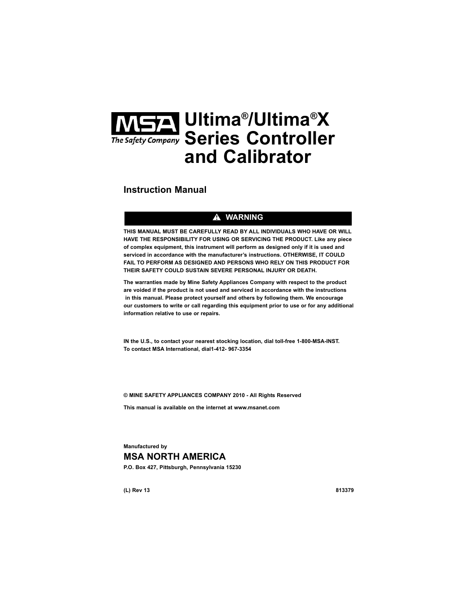# **Ultima®/Ultima®X Series Controller and Calibrator**

# **Instruction Manual**

# $\triangle$  WARNING

**THIS MANUAL MUST BE CAREFULLY READ BY ALL INDIVIDUALS WHO HAVE OR WILL HAVE THE RESPONSIBILITY FOR USING OR SERVICING THE PRODUCT. Like any piece of complex equipment, this instrument will perform as designed only if it is used and serviced in accordance with the manufacturer's instructions. OTHERWISE, IT COULD FAIL TO PERFORM AS DESIGNED AND PERSONS WHO RELY ON THIS PRODUCT FOR THEIR SAFETY COULD SUSTAIN SEVERE PERSONAL INJURY OR DEATH.**

**The warranties made by Mine Safety Appliances Company with respect to the product are voided if the product is not used and serviced in accordance with the instructions in this manual. Please protect yourself and others by following them. We encourage our customers to write or call regarding this equipment prior to use or for any additional information relative to use or repairs.**

**IN the U.S., to contact your nearest stocking location, dial toll-free 1-800-MSA-INST. To contact MSA International, dial1-412- 967-3354** 

**© MINE SAFETY APPLIANCES COMPANY 2010 - All Rights Reserved** 

**This manual is available on the internet at www.msanet.com**

**Manufactured by MSA NORTH AMERICA P.O. Box 427, Pittsburgh, Pennsylvania 15230**

**(L) Rev 13 813379**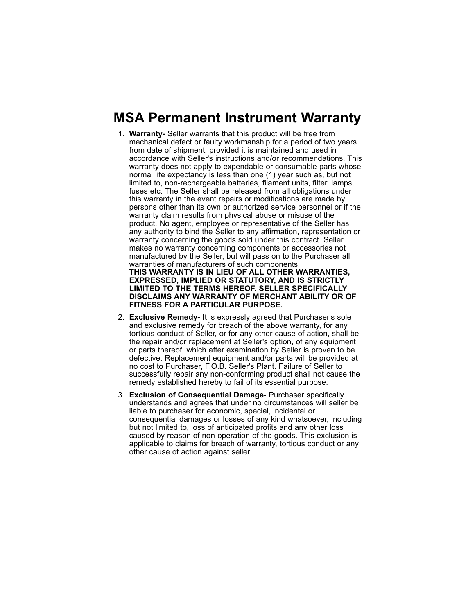# **MSA Permanent Instrument Warranty**

- 1. **Warranty-** Seller warrants that this product will be free from mechanical defect or faulty workmanship for a period of two years from date of shipment, provided it is maintained and used in accordance with Seller's instructions and/or recommendations. This warranty does not apply to expendable or consumable parts whose normal life expectancy is less than one (1) year such as, but not limited to, non-rechargeable batteries, filament units, filter, lamps, fuses etc. The Seller shall be released from all obligations under this warranty in the event repairs or modifications are made by persons other than its own or authorized service personnel or if the warranty claim results from physical abuse or misuse of the product. No agent, employee or representative of the Seller has any authority to bind the Seller to any affirmation, representation or warranty concerning the goods sold under this contract. Seller makes no warranty concerning components or accessories not manufactured by the Seller, but will pass on to the Purchaser all warranties of manufacturers of such components. **THIS WARRANTY IS IN LIEU OF ALL OTHER WARRANTIES, EXPRESSED, IMPLIED OR STATUTORY, AND IS STRICTLY LIMITED TO THE TERMS HEREOF. SELLER SPECIFICALLY DISCLAIMS ANY WARRANTY OF MERCHANT ABILITY OR OF FITNESS FOR A PARTICULAR PURPOSE.**
- 2. **Exclusive Remedy-** It is expressly agreed that Purchaser's sole and exclusive remedy for breach of the above warranty, for any tortious conduct of Seller, or for any other cause of action, shall be the repair and/or replacement at Seller's option, of any equipment or parts thereof, which after examination by Seller is proven to be defective. Replacement equipment and/or parts will be provided at no cost to Purchaser, F.O.B. Seller's Plant. Failure of Seller to successfully repair any non-conforming product shall not cause the remedy established hereby to fail of its essential purpose.
- 3. **Exclusion of Consequential Damage-** Purchaser specifically understands and agrees that under no circumstances will seller be liable to purchaser for economic, special, incidental or consequential damages or losses of any kind whatsoever, including but not limited to, loss of anticipated profits and any other loss caused by reason of non-operation of the goods. This exclusion is applicable to claims for breach of warranty, tortious conduct or any other cause of action against seller.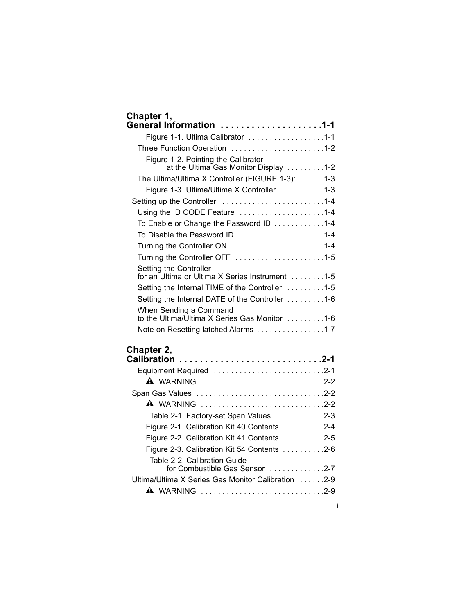| Chapter 1, | General Information 1-1                                                      |
|------------|------------------------------------------------------------------------------|
|            | Figure 1-1. Ultima Calibrator 1-1                                            |
|            | Three Function Operation 1-2                                                 |
|            | Figure 1-2. Pointing the Calibrator<br>at the Ultima Gas Monitor Display 1-2 |
|            | The Ultima/Ultima X Controller (FIGURE 1-3): 1-3                             |
|            | Figure 1-3. Ultima/Ultima X Controller 1-3                                   |
|            | Setting up the Controller 1-4                                                |
|            | Using the ID CODE Feature 1-4                                                |
|            | To Enable or Change the Password ID 1-4                                      |
|            | To Disable the Password ID 1-4                                               |
|            | Turning the Controller ON 1-4                                                |
|            | Turning the Controller OFF 1-5                                               |
|            | Setting the Controller<br>for an Ultima or Ultima X Series Instrument 1-5    |
|            | Setting the Internal TIME of the Controller 1-5                              |
|            | Setting the Internal DATE of the Controller 1-6                              |
|            | When Sending a Command<br>to the Ultima/Ultima X Series Gas Monitor 1-6      |
|            | Note on Resetting latched Alarms 1-7                                         |
|            |                                                                              |

# **Chapter 2,**

| Equipment Required 2-1                                              |
|---------------------------------------------------------------------|
| A WARNING 2-2                                                       |
|                                                                     |
| <b>A</b> WARNING 2-2                                                |
| Table 2-1. Factory-set Span Values 2-3                              |
| Figure 2-1. Calibration Kit 40 Contents 2-4                         |
| Figure 2-2. Calibration Kit 41 Contents $\ldots \ldots \ldots$ .2-5 |
| Figure 2-3. Calibration Kit 54 Contents $\ldots \ldots \ldots$ .2-6 |
| Table 2-2. Calibration Guide<br>for Combustible Gas Sensor 2-7      |
| Ultima/Ultima X Series Gas Monitor Calibration 2-9                  |
| <b>A</b> WARNING 2-9                                                |
|                                                                     |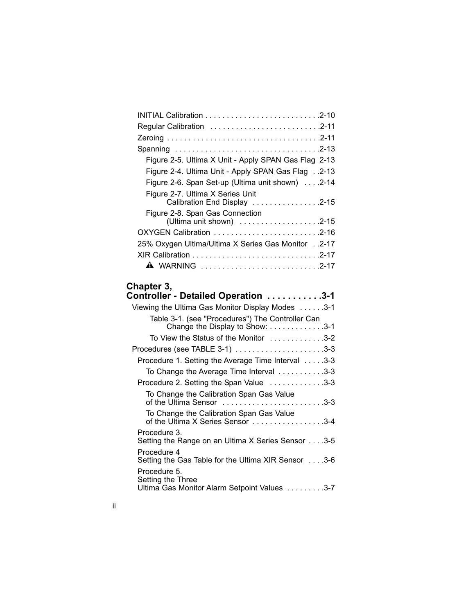| Figure 2-5. Ultima X Unit - Apply SPAN Gas Flag 2-13             |
|------------------------------------------------------------------|
| Figure 2-4. Ultima Unit - Apply SPAN Gas Flag2-13                |
| Figure 2-6. Span Set-up (Ultima unit shown) 2-14                 |
| Figure 2-7. Ultima X Series Unit<br>Calibration End Display 2-15 |
| Figure 2-8. Span Gas Connection                                  |
|                                                                  |
| 25% Oxygen Ultima/Ultima X Series Gas Monitor2-17                |
|                                                                  |
| A WARNING 2-17                                                   |
|                                                                  |

# **Chapter 3,**

| <b>Controller - Detailed Operation 3-1</b>                                          |  |
|-------------------------------------------------------------------------------------|--|
| Viewing the Ultima Gas Monitor Display Modes 3-1                                    |  |
| Table 3-1. (see "Procedures") The Controller Can<br>Change the Display to Show: 3-1 |  |
| To View the Status of the Monitor 3-2                                               |  |
| Procedures (see TABLE 3-1) 3-3                                                      |  |
| Procedure 1. Setting the Average Time Interval 3-3                                  |  |
| To Change the Average Time Interval 3-3                                             |  |
| Procedure 2. Setting the Span Value 3-3                                             |  |
| To Change the Calibration Span Gas Value<br>of the Ultima Sensor 3-3                |  |
| To Change the Calibration Span Gas Value<br>of the Ultima X Series Sensor 3-4       |  |
| Procedure 3.<br>Setting the Range on an Ultima X Series Sensor 3-5                  |  |
| Procedure 4<br>Setting the Gas Table for the Ultima XIR Sensor 3-6                  |  |
| Procedure 5.<br>Setting the Three<br>Ultima Gas Monitor Alarm Setpoint Values 3-7   |  |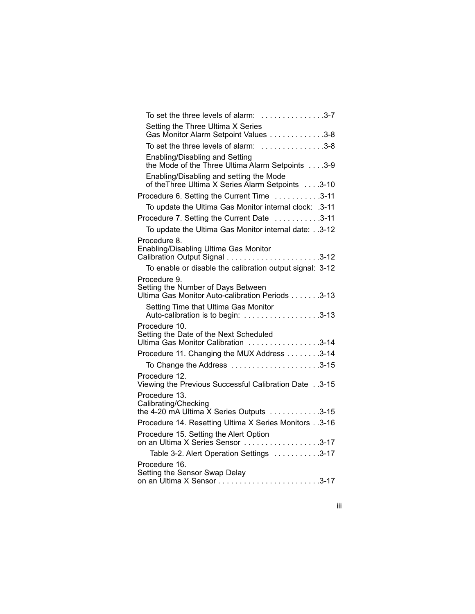| To set the three levels of alarm: 3-7                                                                  |
|--------------------------------------------------------------------------------------------------------|
| Setting the Three Ultima X Series<br>Gas Monitor Alarm Setpoint Values 3-8                             |
| To set the three levels of alarm: 3-8                                                                  |
| Enabling/Disabling and Setting<br>the Mode of the Three Ultima Alarm Setpoints 3-9                     |
| Enabling/Disabling and setting the Mode<br>of the Three Ultima X Series Alarm Setpoints 3-10           |
| Procedure 6. Setting the Current Time 3-11                                                             |
| To update the Ultima Gas Monitor internal clock: .3-11                                                 |
| Procedure 7. Setting the Current Date 3-11                                                             |
| To update the Ultima Gas Monitor internal date:3-12                                                    |
| Procedure 8.<br>Enabling/Disabling Ultima Gas Monitor                                                  |
| To enable or disable the calibration output signal: 3-12                                               |
| Procedure 9.<br>Setting the Number of Days Between<br>Ultima Gas Monitor Auto-calibration Periods 3-13 |
|                                                                                                        |
| Procedure 10.<br>Setting the Date of the Next Scheduled<br>Ultima Gas Monitor Calibration 3-14         |
| Procedure 11. Changing the MUX Address 3-14                                                            |
|                                                                                                        |
| Procedure 12.<br>Viewing the Previous Successful Calibration Date3-15                                  |
| Procedure 13.<br>Calibrating/Checking<br>the 4-20 mA Ultima X Series Outputs 3-15                      |
| Procedure 14. Resetting Ultima X Series Monitors 3-16                                                  |
| Procedure 15. Setting the Alert Option<br>on an Ultima X Series Sensor 3-17                            |
| Table 3-2. Alert Operation Settings 3-17                                                               |
| Procedure 16.<br>Setting the Sensor Swap Delay                                                         |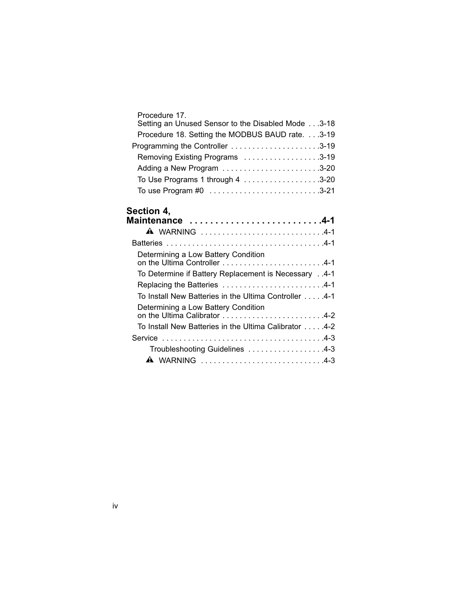| Procedure 17.                                     |  |
|---------------------------------------------------|--|
| Setting an Unused Sensor to the Disabled Mode3-18 |  |
| Procedure 18. Setting the MODBUS BAUD rate.3-19   |  |
| Programming the Controller 3-19                   |  |
| Removing Existing Programs 3-19                   |  |
| Adding a New Program 3-20                         |  |
|                                                   |  |
|                                                   |  |

### **Section 4,**

| Maintenance 4-1                                                     |
|---------------------------------------------------------------------|
| <b>A</b> WARNING 4-1                                                |
|                                                                     |
| Determining a Low Battery Condition<br>on the Ultima Controller 4-1 |
| 4-1. To Determine if Battery Replacement is Necessary 4-1           |
|                                                                     |
| To Install New Batteries in the Ultima Controller 4-1               |
| Determining a Low Battery Condition<br>on the Ultima Calibrator 4-2 |
| To Install New Batteries in the Ultima Calibrator 4-2               |
|                                                                     |
| Troubleshooting Guidelines 4-3                                      |
| <b>A</b> WARNING 4-3                                                |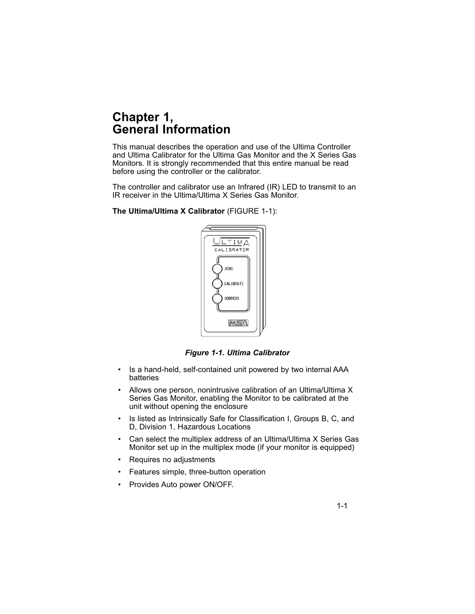# **Chapter 1, General Information**

This manual describes the operation and use of the Ultima Controller and Ultima Calibrator for the Ultima Gas Monitor and the X Series Gas Monitors. It is strongly recommended that this entire manual be read before using the controller or the calibrator.

The controller and calibrator use an Infrared (IR) LED to transmit to an IR receiver in the Ultima/Ultima X Series Gas Monitor.

**The Ultima/Ultima X Calibrator** (FIGURE 1-1):



*Figure 1-1. Ultima Calibrator*

- Is a hand-held, self-contained unit powered by two internal AAA batteries
- Allows one person, nonintrusive calibration of an Ultima/Ultima X Series Gas Monitor, enabling the Monitor to be calibrated at the unit without opening the enclosure
- Is listed as Intrinsically Safe for Classification I, Groups B, C, and D, Division 1, Hazardous Locations
- Can select the multiplex address of an Ultima/Ultima X Series Gas Monitor set up in the multiplex mode (if your monitor is equipped)
- Requires no adjustments
- Features simple, three-button operation
- Provides Auto power ON/OFF.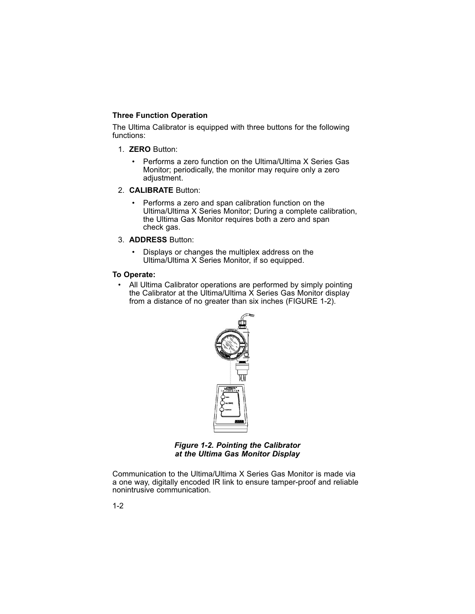# **Three Function Operation**

The Ultima Calibrator is equipped with three buttons for the following functions:

- 1. **ZERO** Button:
	- Performs a zero function on the Ultima/Ultima X Series Gas Monitor; periodically, the monitor may require only a zero adjustment.
- 2. **CALIBRATE** Button:
	- Performs a zero and span calibration function on the Ultima/Ultima X Series Monitor; During a complete calibration, the Ultima Gas Monitor requires both a zero and span check gas.
- 3. **ADDRESS** Button:
	- Displays or changes the multiplex address on the Ultima/Ultima X Series Monitor, if so equipped.

#### **To Operate:**

• All Ultima Calibrator operations are performed by simply pointing the Calibrator at the Ultima/Ultima X Series Gas Monitor display from a distance of no greater than six inches (FIGURE 1-2).



*Figure 1-2. Pointing the Calibrator at the Ultima Gas Monitor Display*

Communication to the Ultima/Ultima X Series Gas Monitor is made via a one way, digitally encoded IR link to ensure tamper-proof and reliable nonintrusive communication.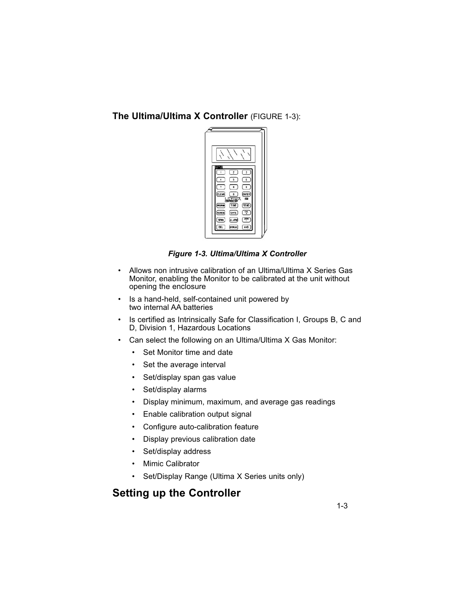**The Ultima/Ultima X Controller** (FIGURE 1-3):



*Figure 1-3. Ultima/Ultima X Controller*

- Allows non intrusive calibration of an Ultima/Ultima X Series Gas Monitor, enabling the Monitor to be calibrated at the unit without opening the enclosure
- Is a hand-held, self-contained unit powered by two internal AA batteries
- Is certified as Intrinsically Safe for Classification I, Groups B, C and D, Division 1, Hazardous Locations
- Can select the following on an Ultima/Ultima X Gas Monitor:
	- Set Monitor time and date
	- Set the average interval
	- Set/display span gas value
	- Set/display alarms
	- Display minimum, maximum, and average gas readings
	- Enable calibration output signal
	- Configure auto-calibration feature
	- Display previous calibration date
	- Set/display address
	- Mimic Calibrator
	- Set/Display Range (Ultima X Series units only)

# **Setting up the Controller**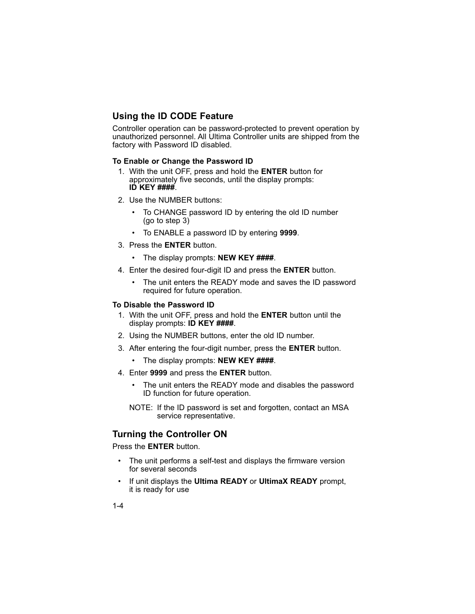# **Using the ID CODE Feature**

Controller operation can be password-protected to prevent operation by unauthorized personnel. All Ultima Controller units are shipped from the factory with Password ID disabled.

#### **To Enable or Change the Password ID**

- 1. With the unit OFF, press and hold the **ENTER** button for approximately five seconds, until the display prompts: **ID KEY ####**.
- 2. Use the NUMBER buttons:
	- To CHANGE password ID by entering the old ID number (go to step 3)
	- To ENABLE a password ID by entering **9999**.
- 3. Press the **ENTER** button.
	- The display prompts: **NEW KEY ####**.
- 4. Enter the desired four-digit ID and press the **ENTER** button.
	- The unit enters the READY mode and saves the ID password required for future operation.

#### **To Disable the Password ID**

- 1. With the unit OFF, press and hold the **ENTER** button until the display prompts: **ID KEY ####**.
- 2. Using the NUMBER buttons, enter the old ID number.
- 3. After entering the four-digit number, press the **ENTER** button.
	- The display prompts: **NEW KEY ####**.
- 4. Enter **9999** and press the **ENTER** button.
	- The unit enters the READY mode and disables the password ID function for future operation.
	- NOTE: If the ID password is set and forgotten, contact an MSA service representative.

### **Turning the Controller ON**

Press the **ENTER** button.

- The unit performs a self-test and displays the firmware version for several seconds
- If unit displays the **Ultima READY** or **UltimaX READY** prompt, it is ready for use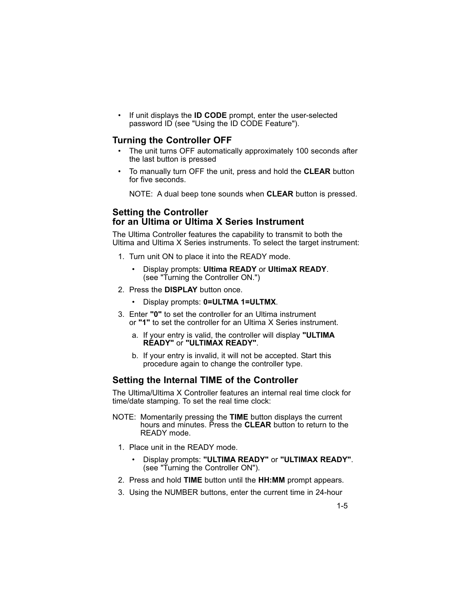• If unit displays the **ID CODE** prompt, enter the user-selected password ID (see "Using the ID CODE Feature").

#### **Turning the Controller OFF**

- The unit turns OFF automatically approximately 100 seconds after the last button is pressed
- To manually turn OFF the unit, press and hold the **CLEAR** button for five seconds.

NOTE: A dual beep tone sounds when **CLEAR** button is pressed.

#### **Setting the Controller for an Ultima or Ultima X Series Instrument**

The Ultima Controller features the capability to transmit to both the Ultima and Ultima X Series instruments. To select the target instrument:

- 1. Turn unit ON to place it into the READY mode.
	- Display prompts: **Ultima READY** or **UltimaX READY**. (see "Turning the Controller ON.")
- 2. Press the **DISPLAY** button once.
	- Display prompts: **0=ULTMA 1=ULTMX**.
- 3. Enter **"0"** to set the controller for an Ultima instrument or **"1"** to set the controller for an Ultima X Series instrument.
	- a. If your entry is valid, the controller will display **"ULTIMA READY"** or **"ULTIMAX READY"**.
	- b. If your entry is invalid, it will not be accepted. Start this procedure again to change the controller type.

#### **Setting the Internal TIME of the Controller**

The Ultima/Ultima X Controller features an internal real time clock for time/date stamping. To set the real time clock:

- NOTE: Momentarily pressing the **TIME** button displays the current hours and minutes. Press the **CLEAR** button to return to the READY mode.
	- 1. Place unit in the READY mode.
		- Display prompts: **"ULTIMA READY"** or **"ULTIMAX READY"**. (see "Turning the Controller ON").
	- 2. Press and hold **TIME** button until the **HH:MM** prompt appears.
	- 3. Using the NUMBER buttons, enter the current time in 24-hour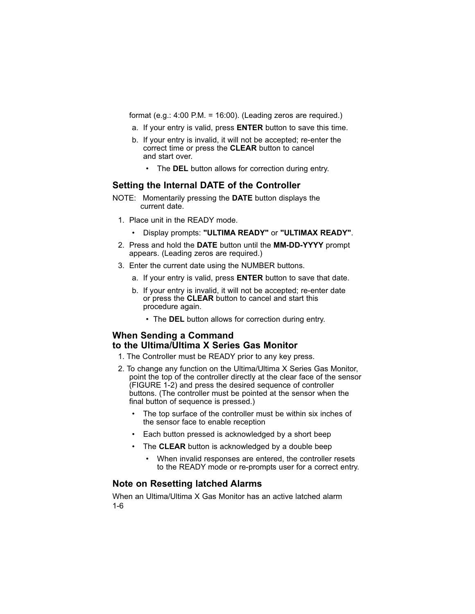format (e.g.: 4:00 P.M. = 16:00). (Leading zeros are required.)

- a. If your entry is valid, press **ENTER** button to save this time.
- b. If your entry is invalid, it will not be accepted; re-enter the correct time or press the **CLEAR** button to cancel and start over.
	- The **DEL** button allows for correction during entry.

#### **Setting the Internal DATE of the Controller**

- NOTE: Momentarily pressing the **DATE** button displays the current date.
	- 1. Place unit in the READY mode.
		- Display prompts: **"ULTIMA READY"** or **"ULTIMAX READY"**.
- 2. Press and hold the **DATE** button until the **MM-DD-YYYY** prompt appears. (Leading zeros are required.)
- 3. Enter the current date using the NUMBER buttons.
	- a. If your entry is valid, press **ENTER** button to save that date.
	- b. If your entry is invalid, it will not be accepted; re-enter date or press the **CLEAR** button to cancel and start this procedure again.
		- The **DEL** button allows for correction during entry.

# **When Sending a Command to the Ultima/Ultima X Series Gas Monitor**

- 1. The Controller must be READY prior to any key press.
- 2. To change any function on the Ultima/Ultima X Series Gas Monitor, point the top of the controller directly at the clear face of the sensor (FIGURE 1-2) and press the desired sequence of controller buttons. (The controller must be pointed at the sensor when the final button of sequence is pressed.)
	- The top surface of the controller must be within six inches of the sensor face to enable reception
	- Each button pressed is acknowledged by a short beep
	- The **CLEAR** button is acknowledged by a double beep
		- When invalid responses are entered, the controller resets to the READY mode or re-prompts user for a correct entry.

#### **Note on Resetting latched Alarms**

When an Ultima/Ultima X Gas Monitor has an active latched alarm 1-6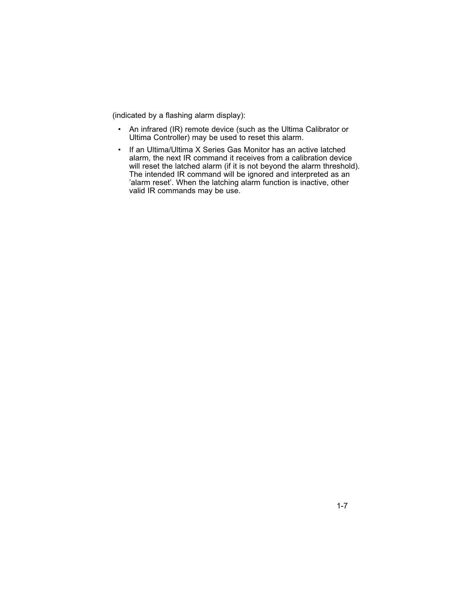(indicated by a flashing alarm display):

- An infrared (IR) remote device (such as the Ultima Calibrator or Ultima Controller) may be used to reset this alarm.
- If an Ultima/Ultima X Series Gas Monitor has an active latched alarm, the next IR command it receives from a calibration device will reset the latched alarm (if it is not beyond the alarm threshold). The intended IR command will be ignored and interpreted as an 'alarm reset'. When the latching alarm function is inactive, other valid IR commands may be use.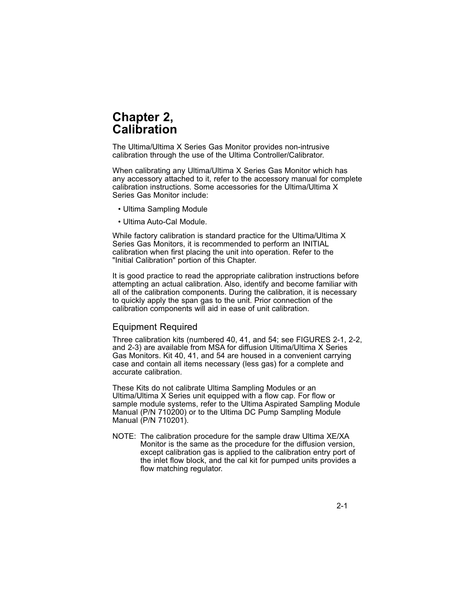# **Chapter 2, Calibration**

The Ultima/Ultima X Series Gas Monitor provides non-intrusive calibration through the use of the Ultima Controller/Calibrator.

When calibrating any Ultima/Ultima X Series Gas Monitor which has any accessory attached to it, refer to the accessory manual for complete calibration instructions. Some accessories for the Ultima/Ultima X Series Gas Monitor include:

- Ultima Sampling Module
- Ultima Auto-Cal Module.

While factory calibration is standard practice for the Ultima/Ultima X Series Gas Monitors, it is recommended to perform an INITIAL calibration when first placing the unit into operation. Refer to the "Initial Calibration" portion of this Chapter.

It is good practice to read the appropriate calibration instructions before attempting an actual calibration. Also, identify and become familiar with all of the calibration components. During the calibration, it is necessary to quickly apply the span gas to the unit. Prior connection of the calibration components will aid in ease of unit calibration.

#### Equipment Required

Three calibration kits (numbered 40, 41, and 54; see FIGURES 2-1, 2-2, and 2-3) are available from MSA for diffusion Ultima/Ultima X Series Gas Monitors. Kit 40, 41, and 54 are housed in a convenient carrying case and contain all items necessary (less gas) for a complete and accurate calibration.

These Kits do not calibrate Ultima Sampling Modules or an Ultima/Ultima X Series unit equipped with a flow cap. For flow or sample module systems, refer to the Ultima Aspirated Sampling Module Manual (P/N 710200) or to the Ultima DC Pump Sampling Module Manual (P/N 710201).

NOTE: The calibration procedure for the sample draw Ultima XE/XA Monitor is the same as the procedure for the diffusion version, except calibration gas is applied to the calibration entry port of the inlet flow block, and the cal kit for pumped units provides a flow matching regulator.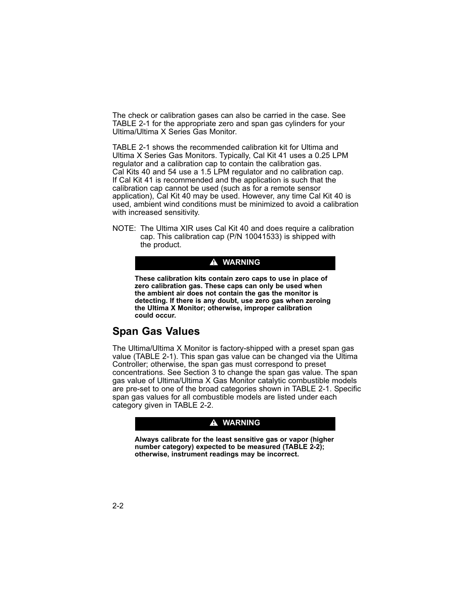The check or calibration gases can also be carried in the case. See TABLE 2-1 for the appropriate zero and span gas cylinders for your Ultima/Ultima X Series Gas Monitor.

TABLE 2-1 shows the recommended calibration kit for Ultima and Ultima X Series Gas Monitors. Typically, Cal Kit 41 uses a 0.25 LPM regulator and a calibration cap to contain the calibration gas. Cal Kits 40 and 54 use a 1.5 LPM regulator and no calibration cap. If Cal Kit 41 is recommended and the application is such that the calibration cap cannot be used (such as for a remote sensor application), Cal Kit 40 may be used. However, any time Cal Kit 40 is used, ambient wind conditions must be minimized to avoid a calibration with increased sensitivity.

NOTE: The Ultima XIR uses Cal Kit 40 and does require a calibration cap. This calibration cap (P/N 10041533) is shipped with the product.

#### **A** WARNING

**These calibration kits contain zero caps to use in place of zero calibration gas. These caps can only be used when the ambient air does not contain the gas the monitor is detecting. If there is any doubt, use zero gas when zeroing the Ultima X Monitor; otherwise, improper calibration could occur.**

# **Span Gas Values**

The Ultima/Ultima X Monitor is factory-shipped with a preset span gas value (TABLE 2-1). This span gas value can be changed via the Ultima Controller; otherwise, the span gas must correspond to preset concentrations. See Section 3 to change the span gas value. The span gas value of Ultima/Ultima X Gas Monitor catalytic combustible models are pre-set to one of the broad categories shown in TABLE 2-1. Specific span gas values for all combustible models are listed under each category given in TABLE 2-2.

#### **A** WARNING

**Always calibrate for the least sensitive gas or vapor (higher number category) expected to be measured (TABLE 2-2); otherwise, instrument readings may be incorrect.**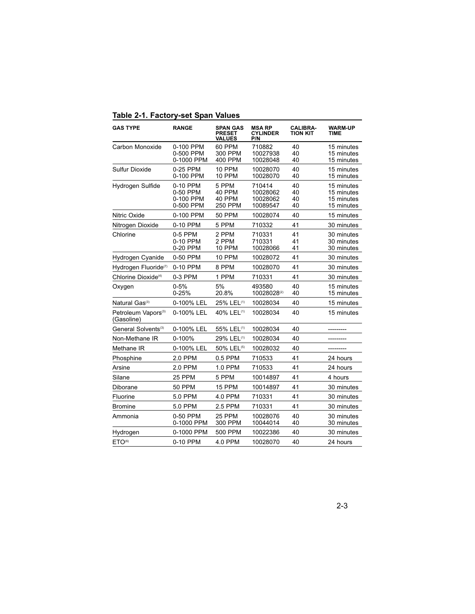|  |  | Table 2-1. Factory-set Span Values |  |
|--|--|------------------------------------|--|
|--|--|------------------------------------|--|

| <b>GAS TYPE</b>                               | <b>RANGE</b>                                   | <b>SPAN GAS</b><br><b>PRESET</b><br><b>VALUES</b> | <b>MSA RP</b><br><b>CYLINDER</b><br>P/N    | <b>CALIBRA-</b><br><b>TION KIT</b> | <b>WARM-UP</b><br>TIME                               |
|-----------------------------------------------|------------------------------------------------|---------------------------------------------------|--------------------------------------------|------------------------------------|------------------------------------------------------|
| Carbon Monoxide                               | 0-100 PPM<br>0-500 PPM<br>0-1000 PPM           | 60 PPM<br>300 PPM<br>400 PPM                      | 710882<br>10027938<br>10028048             | 40<br>40<br>40                     | 15 minutes<br>15 minutes<br>15 minutes               |
| <b>Sulfur Dioxide</b>                         | 0-25 PPM<br>0-100 PPM                          | 10 PPM<br><b>10 PPM</b>                           | 10028070<br>10028070                       | 40<br>40                           | 15 minutes<br>15 minutes                             |
| Hydrogen Sulfide                              | 0-10 PPM<br>0-50 PPM<br>0-100 PPM<br>0-500 PPM | 5 PPM<br>40 PPM<br>40 PPM<br>250 PPM              | 710414<br>10028062<br>10028062<br>10089547 | 40<br>40<br>40<br>40               | 15 minutes<br>15 minutes<br>15 minutes<br>15 minutes |
| Nitric Oxide                                  | 0-100 PPM                                      | 50 PPM                                            | 10028074                                   | 40                                 | 15 minutes                                           |
| Nitrogen Dioxide                              | 0-10 PPM                                       | 5 PPM                                             | 710332                                     | 41                                 | 30 minutes                                           |
| Chlorine                                      | 0-5 PPM<br>0-10 PPM<br>0-20 PPM                | 2 PPM<br>2 PPM<br><b>10 PPM</b>                   | 710331<br>710331<br>10028066               | 41<br>41<br>41                     | 30 minutes<br>30 minutes<br>30 minutes               |
| Hydrogen Cyanide                              | 0-50 PPM                                       | 10 PPM                                            | 10028072                                   | 41                                 | 30 minutes                                           |
| Hydrogen Fluoride(7)                          | 0-10 PPM                                       | 8 PPM                                             | 10028070                                   | 41                                 | 30 minutes                                           |
| Chlorine Dioxide <sup>(4)</sup>               | 0-3 PPM                                        | 1 PPM                                             | 710331                                     | 41                                 | 30 minutes                                           |
| Oxygen                                        | $0 - 5%$<br>$0 - 25%$                          | 5%<br>20.8%                                       | 493580<br>10028028(2)                      | 40<br>40                           | 15 minutes<br>15 minutes                             |
| Natural Gas <sup>(3)</sup>                    | 0-100% LEL                                     | 25% LEL <sup>(1)</sup>                            | 10028034                                   | 40                                 | 15 minutes                                           |
| Petroleum Vapors <sup>(3)</sup><br>(Gasoline) | 0-100% LEL                                     | 40% LEL <sup>(1)</sup>                            | 10028034                                   | 40                                 | 15 minutes                                           |
| General Solvents <sup>(3)</sup>               | 0-100% LEL                                     | 55% LEL <sup>(1)</sup>                            | 10028034                                   | 40                                 |                                                      |
| Non-Methane IR                                | 0-100%                                         | 29% LEL <sup>(1)</sup>                            | 10028034                                   | 40                                 | ----------                                           |
| Methane IR                                    | 0-100% LEL                                     | 50% LEL <sup>(5)</sup>                            | 10028032                                   | 40                                 |                                                      |
| Phosphine                                     | 2.0 PPM                                        | 0.5 PPM                                           | 710533                                     | 41                                 | 24 hours                                             |
| Arsine                                        | 2.0 PPM                                        | 1.0 PPM                                           | 710533                                     | 41                                 | 24 hours                                             |
| Silane                                        | <b>25 PPM</b>                                  | 5 PPM                                             | 10014897                                   | 41                                 | 4 hours                                              |
| Diborane                                      | <b>50 PPM</b>                                  | 15 PPM                                            | 10014897                                   | 41                                 | 30 minutes                                           |
| Fluorine                                      | 5.0 PPM                                        | 4.0 PPM                                           | 710331                                     | 41                                 | 30 minutes                                           |
| <b>Bromine</b>                                | 5.0 PPM                                        | 2.5 PPM                                           | 710331                                     | 41                                 | 30 minutes                                           |
| Ammonia                                       | 0-50 PPM<br>0-1000 PPM                         | 25 PPM<br>300 PPM                                 | 10028076<br>10044014                       | 40<br>40                           | 30 minutes<br>30 minutes                             |
| Hydrogen                                      | 0-1000 PPM                                     | 500 PPM                                           | 10022386                                   | 40                                 | 30 minutes                                           |
| ETO <sup>(6)</sup>                            | 0-10 PPM                                       | 4.0 PPM                                           | 10028070                                   | 40                                 | 24 hours                                             |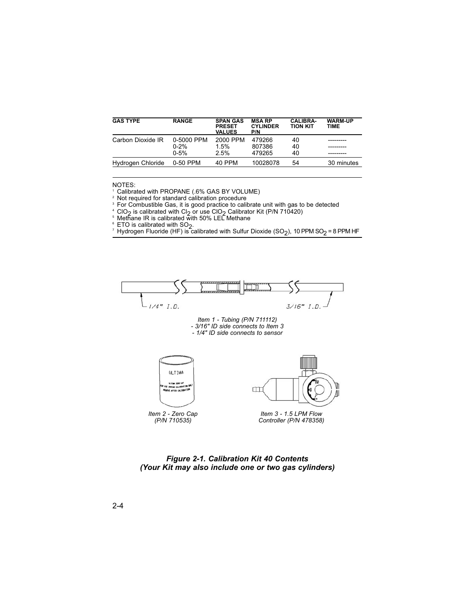| <b>GAS TYPE</b>   | <b>RANGE</b>                       | <b>SPAN GAS</b><br><b>PRESET</b><br><b>VALUES</b> | <b>MSA RP</b><br><b>CYLINDER</b><br>P/N | <b>CALIBRA-</b><br><b>TION KIT</b> | <b>WARM-UP</b><br>TIME |
|-------------------|------------------------------------|---------------------------------------------------|-----------------------------------------|------------------------------------|------------------------|
| Carbon Dioxide IR | 0-5000 PPM<br>$0 - 2%$<br>$0 - 5%$ | 2000 PPM<br>1.5%<br>2.5%                          | 479266<br>807386<br>479265              | 40<br>40<br>40                     |                        |
| Hydrogen Chloride | 0-50 PPM                           | 40 PPM                                            | 10028078                                | 54                                 | 30 minutes             |

NOTES:

<sup>1</sup> Calibrated with PROPANE (.6% GAS BY VOLUME)

<sup>2</sup> Not required for standard calibration procedure

<sup>3</sup> For Combustible Gas, it is good practice to calibrate unit with gas to be detected

 $^4$  ClO<sub>2</sub> is calibrated with Cl<sub>2</sub> or use ClO<sub>2</sub> Calibrator Kit (P/N 710420)<br><sup>5</sup> Methane IR is calibrated with 50% LEL Methane

6 ETO is calibrated with SO<sub>2</sub>.<br>6 ETO is calibrated with Sulfur Dioxide (SO<sub>2</sub>), 10 PPM SO<sub>2</sub> = 8 PPM HF<sup>7</sup> Hydrogen Fluoride (HF) is calibrated with Sulfur Dioxide (SO<sub>2</sub>), 10 PPM SO<sub>2</sub> = 8 PPM HF



*Item 2 - Zero Cap (P/N 710535)*

*Item 3 - 1.5 LPM Flow Controller (P/N 478358)*

*Figure 2-1. Calibration Kit 40 Contents (Your Kit may also include one or two gas cylinders)*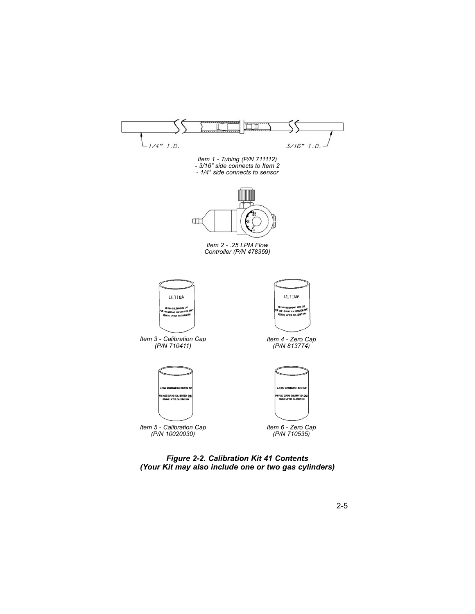

*Figure 2-2. Calibration Kit 41 Contents (Your Kit may also include one or two gas cylinders)*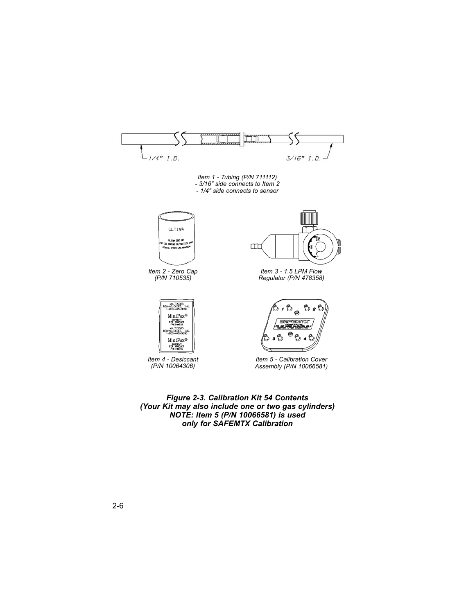

*Figure 2-3. Calibration Kit 54 Contents (Your Kit may also include one or two gas cylinders) NOTE: Item 5 (P/N 10066581) is used only for SAFEMTX Calibration*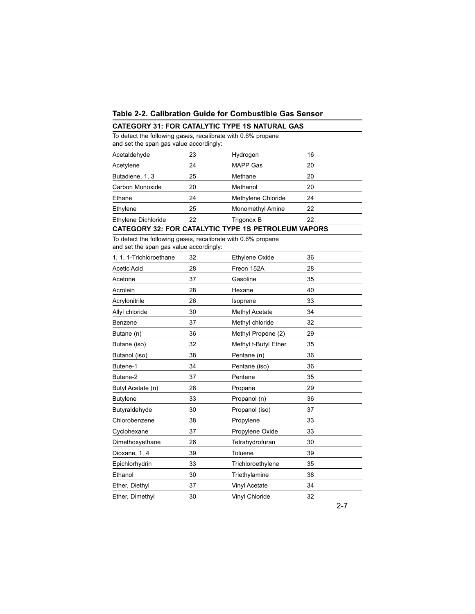# **Table 2-2. Calibration Guide for Combustible Gas Sensor**

|                                                                                                         |    | <b>CATEGORY 31: FOR CATALYTIC TYPE 1S NATURAL GAS</b> |    |  |
|---------------------------------------------------------------------------------------------------------|----|-------------------------------------------------------|----|--|
| To detect the following gases, recalibrate with 0.6% propane<br>and set the span gas value accordingly: |    |                                                       |    |  |
| Acetaldehyde                                                                                            | 23 | Hydrogen                                              | 16 |  |
| Acetylene                                                                                               | 24 | MAPP Gas                                              | 20 |  |
| Butadiene, 1, 3                                                                                         | 25 | Methane                                               | 20 |  |
| Carbon Monoxide                                                                                         | 20 | Methanol                                              | 20 |  |
| Ethane                                                                                                  | 24 | Methylene Chloride                                    | 24 |  |
| Ethylene                                                                                                | 25 | <b>Monomethyl Amine</b>                               | 22 |  |
| Ethylene Dichloride                                                                                     | 22 | Trigonox B                                            | 22 |  |
|                                                                                                         |    | CATEGORY 32: FOR CATALYTIC TYPE 1S PETROLEUM VAPORS   |    |  |
| To detect the following gases, recalibrate with 0.6% propane<br>and set the span gas value accordingly: |    |                                                       |    |  |
| 1, 1, 1-Trichloroethane                                                                                 | 32 | <b>Ethylene Oxide</b>                                 | 36 |  |
| Acetic Acid                                                                                             | 28 | Freon 152A                                            | 28 |  |
| Acetone                                                                                                 | 37 | Gasoline                                              | 35 |  |
| Acrolein                                                                                                | 28 | Hexane                                                | 40 |  |
| Acrylonitrile                                                                                           | 26 | Isoprene                                              | 33 |  |
| Allyl chloride                                                                                          | 30 | <b>Methyl Acetate</b>                                 | 34 |  |
| Benzene                                                                                                 | 37 | Methyl chloride                                       | 32 |  |
| Butane (n)                                                                                              | 36 | Methyl Propene (2)                                    | 29 |  |
| Butane (iso)                                                                                            | 32 | Methyl t-Butyl Ether                                  | 35 |  |
| Butanol (iso)                                                                                           | 38 | Pentane (n)                                           | 36 |  |
| Butene-1                                                                                                | 34 | Pentane (iso)                                         | 36 |  |
| Butene-2                                                                                                | 37 | Pentene                                               | 35 |  |
| Butyl Acetate (n)                                                                                       | 28 | Propane                                               | 29 |  |
| <b>Butylene</b>                                                                                         | 33 | Propanol (n)                                          | 36 |  |
| Butyraldehyde                                                                                           | 30 | Propanol (iso)                                        | 37 |  |
| Chlorobenzene                                                                                           | 38 | Propylene                                             | 33 |  |
| Cyclohexane                                                                                             | 37 | Propylene Oxide                                       | 33 |  |
| Dimethoxyethane                                                                                         | 26 | Tetrahydrofuran                                       | 30 |  |
| Dioxane, 1, 4                                                                                           | 39 | Toluene                                               | 39 |  |
| Epichlorhydrin                                                                                          | 33 | Trichloroethylene                                     | 35 |  |
| Ethanol                                                                                                 | 30 | Triethylamine                                         | 38 |  |
| Ether, Diethyl                                                                                          | 37 | <b>Vinyl Acetate</b>                                  | 34 |  |
| Ether, Dimethyl                                                                                         | 30 | Vinyl Chloride                                        | 32 |  |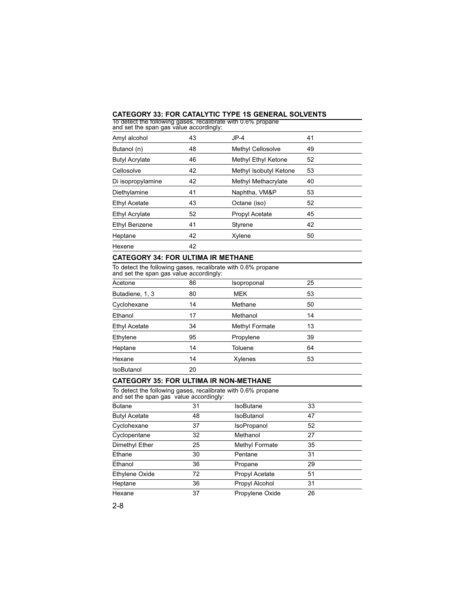#### **CATEGORY 33: FOR CATALYTIC TYPE 1S GENERAL SOLVENTS**

| To detect the following gases, recalibrate with 0.6% propane<br>and set the span gas value accordingly: |    |                        |    |
|---------------------------------------------------------------------------------------------------------|----|------------------------|----|
| Amyl alcohol                                                                                            | 43 | $JP-4$                 | 41 |
| Butanol (n)                                                                                             | 48 | Methyl Cellosolve      | 49 |
| <b>Butyl Acrylate</b>                                                                                   | 46 | Methyl Ethyl Ketone    | 52 |
| Cellosolve                                                                                              | 42 | Methyl Isobutyl Ketone | 53 |
| Di isopropylamine                                                                                       | 42 | Methyl Methacrylate    | 40 |
| Diethylamine                                                                                            | 41 | Naphtha, VM&P          | 53 |
| <b>Ethyl Acetate</b>                                                                                    | 43 | Octane (iso)           | 52 |
| Ethyl Acrylate                                                                                          | 52 | Propyl Acetate         | 45 |
| Ethyl Benzene                                                                                           | 41 | Styrene                | 42 |
| Heptane                                                                                                 | 42 | Xylene                 | 50 |
| Hexene                                                                                                  | 42 |                        |    |
| CATEGORY 34: FOR ULTIMA IR METHANE                                                                      |    |                        |    |
| To detect the following gases, recalibrate with 0.6% propane<br>and set the span gas value accordingly: |    |                        |    |
| Acetone                                                                                                 | 86 | Isoproponal            | 25 |
| Butadiene, 1, 3                                                                                         | 80 | <b>MEK</b>             | 53 |
| Cyclohexane                                                                                             | 14 | Methane                | 50 |
| Ethanol                                                                                                 | 17 | Methanol               | 14 |
| Ethyl Acetate                                                                                           | 34 | Methyl Formate         | 13 |
| Ethylene                                                                                                | 95 | Propylene              | 39 |
| Heptane                                                                                                 | 14 | Toluene                | 64 |
| Hexane                                                                                                  | 14 | Xylenes                | 53 |
| IsoButanol                                                                                              | 20 |                        |    |
| <b>CATEGORY 35: FOR ULTIMA IR NON-METHANE</b>                                                           |    |                        |    |
| To detect the following gases, recalibrate with 0.6% propane<br>and set the span gas value accordingly: |    |                        |    |
|                                                                                                         |    |                        |    |

| and set the span gas value accordingly. |    |                 |    |  |
|-----------------------------------------|----|-----------------|----|--|
| <b>Butane</b>                           | 31 | IsoButane       | 33 |  |
| <b>Butyl Acetate</b>                    | 48 | IsoButanol      | 47 |  |
| Cyclohexane                             | 37 | IsoPropanol     | 52 |  |
| Cyclopentane                            | 32 | Methanol        | 27 |  |
| Dimethyl Ether                          | 25 | Methyl Formate  | 35 |  |
| Ethane                                  | 30 | Pentane         | 31 |  |
| Ethanol                                 | 36 | Propane         | 29 |  |
| Ethylene Oxide                          | 72 | Propyl Acetate  | 51 |  |
| Heptane                                 | 36 | Propyl Alcohol  | 31 |  |
| Hexane                                  | 37 | Propylene Oxide | 26 |  |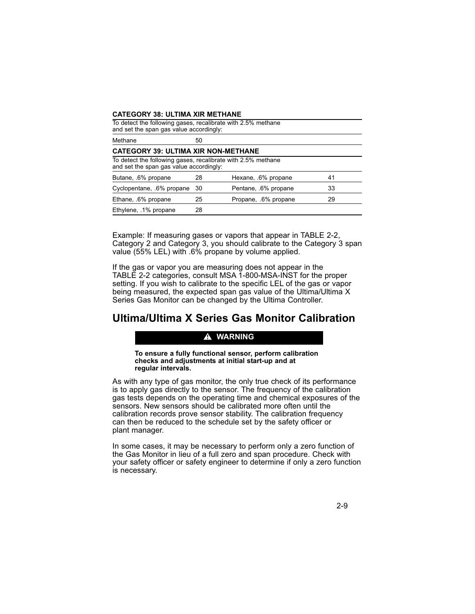#### **CATEGORY 38: ULTIMA XIR METHANE**

| To detect the following gases, recalibrate with 2.5% methane<br>and set the span gas value accordingly: |    |                      |    |
|---------------------------------------------------------------------------------------------------------|----|----------------------|----|
| Methane                                                                                                 | 50 |                      |    |
| <b>CATEGORY 39: ULTIMA XIR NON-METHANE</b>                                                              |    |                      |    |
| To detect the following gases, recalibrate with 2.5% methane<br>and set the span gas value accordingly: |    |                      |    |
| Butane, .6% propane                                                                                     | 28 | Hexane, .6% propane  | 41 |
| Cyclopentane, .6% propane                                                                               | 30 | Pentane, .6% propane | 33 |
| Ethane, .6% propane                                                                                     | 25 | Propane, .6% propane | 29 |
| Ethylene, .1% propane                                                                                   | 28 |                      |    |

Example: If measuring gases or vapors that appear in TABLE 2-2, Category 2 and Category 3, you should calibrate to the Category 3 span value (55% LEL) with .6% propane by volume applied.

If the gas or vapor you are measuring does not appear in the TABLE 2-2 categories, consult MSA 1-800-MSA-INST for the proper setting. If you wish to calibrate to the specific LEL of the gas or vapor being measured, the expected span gas value of the Ultima/Ultima X Series Gas Monitor can be changed by the Ultima Controller.

# **Ultima/Ultima X Series Gas Monitor Calibration**

#### **A** WARNING

**To ensure a fully functional sensor, perform calibration checks and adjustments at initial start-up and at regular intervals.**

As with any type of gas monitor, the only true check of its performance is to apply gas directly to the sensor. The frequency of the calibration gas tests depends on the operating time and chemical exposures of the sensors. New sensors should be calibrated more often until the calibration records prove sensor stability. The calibration frequency can then be reduced to the schedule set by the safety officer or plant manager.

In some cases, it may be necessary to perform only a zero function of the Gas Monitor in lieu of a full zero and span procedure. Check with your safety officer or safety engineer to determine if only a zero function is necessary.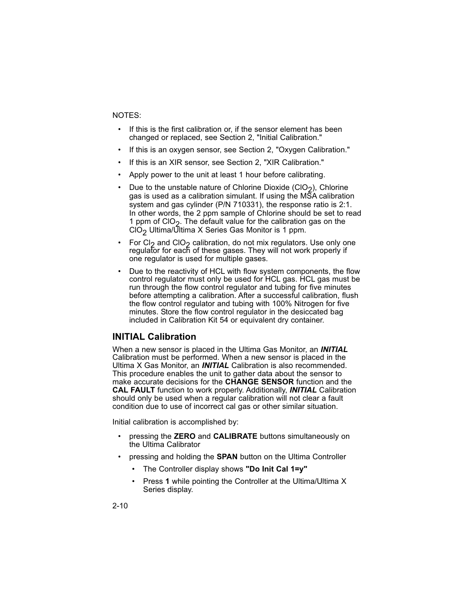#### NOTES:

- If this is the first calibration or, if the sensor element has been changed or replaced, see Section 2, "Initial Calibration."
- If this is an oxygen sensor, see Section 2, "Oxygen Calibration."
- If this is an XIR sensor, see Section 2, "XIR Calibration."
- Apply power to the unit at least 1 hour before calibrating.
- Due to the unstable nature of Chlorine Dioxide (ClO<sub>2</sub>), Chlorine gas is used as a calibration simulant. If using the MSA calibration system and gas cylinder (P/N 710331), the response ratio is 2:1. In other words, the 2 ppm sample of Chlorine should be set to read 1 ppm of CIO<sub>2</sub>. The default value for the calibration gas on the  $\overline{CO}_2$  Ultima/Ultima X Series Gas Monitor is 1 ppm.
- For Cl<sub>2</sub> and ClO<sub>2</sub> calibration, do not mix regulators. Use only one regulator for each of these gases. They will not work properly if one regulator is used for multiple gases.
- Due to the reactivity of HCL with flow system components, the flow control regulator must only be used for HCL gas. HCL gas must be run through the flow control regulator and tubing for five minutes before attempting a calibration. After a successful calibration, flush the flow control regulator and tubing with 100% Nitrogen for five minutes. Store the flow control regulator in the desiccated bag included in Calibration Kit 54 or equivalent dry container.

#### **INITIAL Calibration**

When a new sensor is placed in the Ultima Gas Monitor, an *INITIAL* Calibration must be performed. When a new sensor is placed in the Ultima X Gas Monitor, an *INITIAL* Calibration is also recommended. This procedure enables the unit to gather data about the sensor to make accurate decisions for the **CHANGE SENSOR** function and the **CAL FAULT** function to work properly. Additionally, *INITIAL* Calibration should only be used when a regular calibration will not clear a fault condition due to use of incorrect cal gas or other similar situation.

Initial calibration is accomplished by:

- pressing the **ZERO** and **CALIBRATE** buttons simultaneously on the Ultima Calibrator
- pressing and holding the **SPAN** button on the Ultima Controller
	- The Controller display shows **"Do Init Cal 1=y"**
	- Press **1** while pointing the Controller at the Ultima/Ultima X Series display.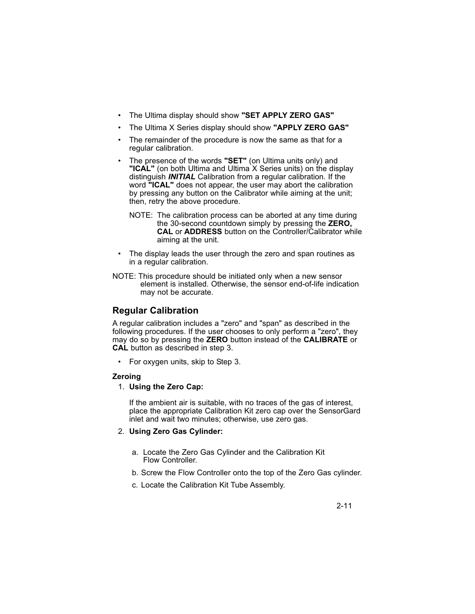- The Ultima display should show **"SET APPLY ZERO GAS"**
- The Ultima X Series display should show **"APPLY ZERO GAS"**
- The remainder of the procedure is now the same as that for a regular calibration.
- The presence of the words **"SET"** (on Ultima units only) and **"ICAL"** (on both Ultima and Ultima X Series units) on the display distinguish *INITIAL* Calibration from a regular calibration. If the word **"ICAL"** does not appear, the user may abort the calibration by pressing any button on the Calibrator while aiming at the unit; then, retry the above procedure.
	- NOTE: The calibration process can be aborted at any time during the 30-second countdown simply by pressing the **ZERO, CAL** or **ADDRESS** button on the Controller/Calibrator while aiming at the unit.
- The display leads the user through the zero and span routines as in a regular calibration.
- NOTE: This procedure should be initiated only when a new sensor element is installed. Otherwise, the sensor end-of-life indication may not be accurate.

# **Regular Calibration**

A regular calibration includes a "zero" and "span" as described in the following procedures. If the user chooses to only perform a "zero", they may do so by pressing the **ZERO** button instead of the **CALIBRATE** or **CAL** button as described in step 3.

• For oxygen units, skip to Step 3.

#### **Zeroing**

1. **Using the Zero Cap:**

If the ambient air is suitable, with no traces of the gas of interest, place the appropriate Calibration Kit zero cap over the SensorGard inlet and wait two minutes; otherwise, use zero gas.

#### 2. **Using Zero Gas Cylinder:**

- a. Locate the Zero Gas Cylinder and the Calibration Kit Flow Controller.
- b. Screw the Flow Controller onto the top of the Zero Gas cylinder.
- c. Locate the Calibration Kit Tube Assembly.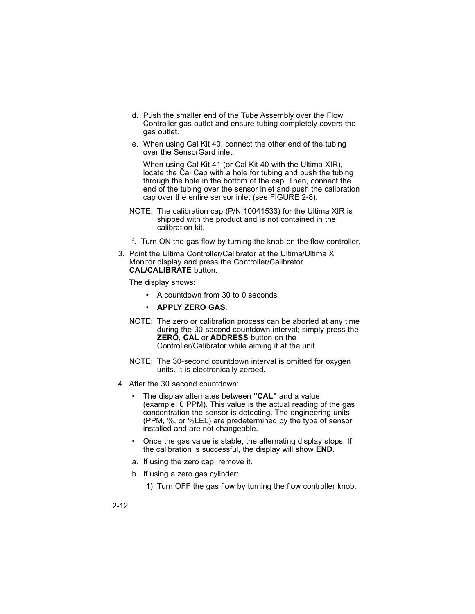- d. Push the smaller end of the Tube Assembly over the Flow Controller gas outlet and ensure tubing completely covers the gas outlet.
- e. When using Cal Kit 40, connect the other end of the tubing over the SensorGard inlet.

When using Cal Kit 41 (or Cal Kit 40 with the Ultima XIR), locate the Cal Cap with a hole for tubing and push the tubing through the hole in the bottom of the cap. Then, connect the end of the tubing over the sensor inlet and push the calibration cap over the entire sensor inlet (see FIGURE 2-8).

- NOTE: The calibration cap (P/N 10041533) for the Ultima XIR is shipped with the product and is not contained in the calibration kit.
- f. Turn ON the gas flow by turning the knob on the flow controller.
- 3. Point the Ultima Controller/Calibrator at the Ultima/Ultima X Monitor display and press the Controller/Calibrator **CAL/CALIBRATE** button.

The display shows:

- A countdown from 30 to 0 seconds
- **APPLY ZERO GAS**.
- NOTE: The zero or calibration process can be aborted at any time during the 30-second countdown interval; simply press the **ZERO**, **CAL** or **ADDRESS** button on the Controller/Calibrator while aiming it at the unit.
- NOTE: The 30-second countdown interval is omitted for oxygen units. It is electronically zeroed.
- 4. After the 30 second countdown:
	- The display alternates between **"CAL"** and a value (example: 0 PPM). This value is the actual reading of the gas concentration the sensor is detecting. The engineering units (PPM, %, or %LEL) are predetermined by the type of sensor installed and are not changeable.
	- Once the gas value is stable, the alternating display stops. If the calibration is successful, the display will show **END**.
	- a. If using the zero cap, remove it.
	- b. If using a zero gas cylinder:
		- 1) Turn OFF the gas flow by turning the flow controller knob.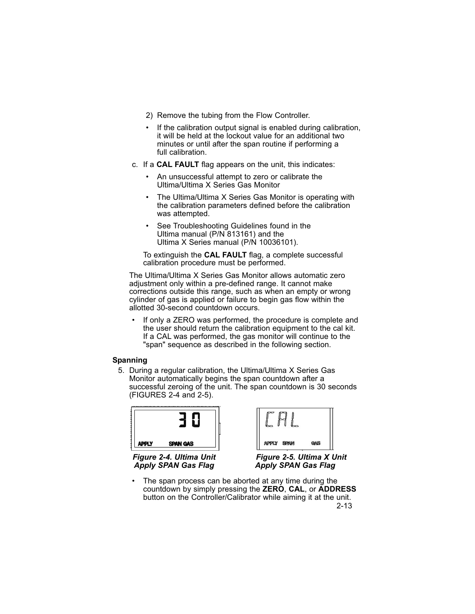- 2) Remove the tubing from the Flow Controller.
- If the calibration output signal is enabled during calibration, it will be held at the lockout value for an additional two minutes or until after the span routine if performing a full calibration.
- c. If a **CAL FAULT** flag appears on the unit, this indicates:
	- An unsuccessful attempt to zero or calibrate the Ultima/Ultima X Series Gas Monitor
	- The Ultima/Ultima X Series Gas Monitor is operating with the calibration parameters defined before the calibration was attempted.
	- See Troubleshooting Guidelines found in the Ultima manual (P/N 813161) and the Ultima X Series manual (P/N 10036101).

To extinguish the **CAL FAULT** flag, a complete successful calibration procedure must be performed.

The Ultima/Ultima X Series Gas Monitor allows automatic zero adjustment only within a pre-defined range. It cannot make corrections outside this range, such as when an empty or wrong cylinder of gas is applied or failure to begin gas flow within the allotted 30-second countdown occurs.

If only a ZERO was performed, the procedure is complete and the user should return the calibration equipment to the cal kit. If a CAL was performed, the gas monitor will continue to the "span" sequence as described in the following section.

#### **Spanning**

5. During a regular calibration, the Ultima/Ultima X Series Gas Monitor automatically begins the span countdown after a successful zeroing of the unit. The span countdown is 30 seconds (FIGURES 2-4 and 2-5).

| PPLY | SPAN GAS |
|------|----------|

*Figure 2-4. Ultima Unit Apply SPAN Gas Flag*

| APPLY SPAN |  |
|------------|--|

*Figure 2-5. Ultima X Unit Apply SPAN Gas Flag*

The span process can be aborted at any time during the countdown by simply pressing the **ZERO**, **CAL**, or **ADDRESS** button on the Controller/Calibrator while aiming it at the unit. 2-13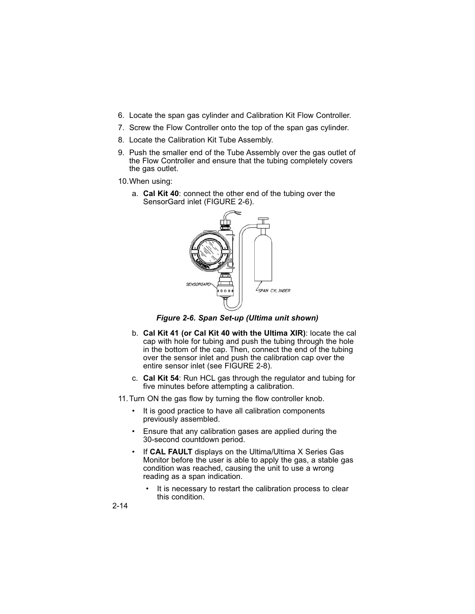- 6. Locate the span gas cylinder and Calibration Kit Flow Controller.
- 7. Screw the Flow Controller onto the top of the span gas cylinder.
- 8. Locate the Calibration Kit Tube Assembly.
- 9. Push the smaller end of the Tube Assembly over the gas outlet of the Flow Controller and ensure that the tubing completely covers the gas outlet.
- 10.When using:
	- a. **Cal Kit 40**: connect the other end of the tubing over the SensorGard inlet (FIGURE 2-6).



*Figure 2-6. Span Set-up (Ultima unit shown)*

- b. **Cal Kit 41 (or Cal Kit 40 with the Ultima XIR)**: locate the cal cap with hole for tubing and push the tubing through the hole in the bottom of the cap. Then, connect the end of the tubing over the sensor inlet and push the calibration cap over the entire sensor inlet (see FIGURE 2-8).
- c. **Cal Kit 54**: Run HCL gas through the regulator and tubing for five minutes before attempting a calibration.
- 11.Turn ON the gas flow by turning the flow controller knob.
	- It is good practice to have all calibration components previously assembled.
	- Ensure that any calibration gases are applied during the 30-second countdown period.
	- If CAL FAULT displays on the Ultima/Ultima X Series Gas Monitor before the user is able to apply the gas, a stable gas condition was reached, causing the unit to use a wrong reading as a span indication.
		- It is necessary to restart the calibration process to clear this condition.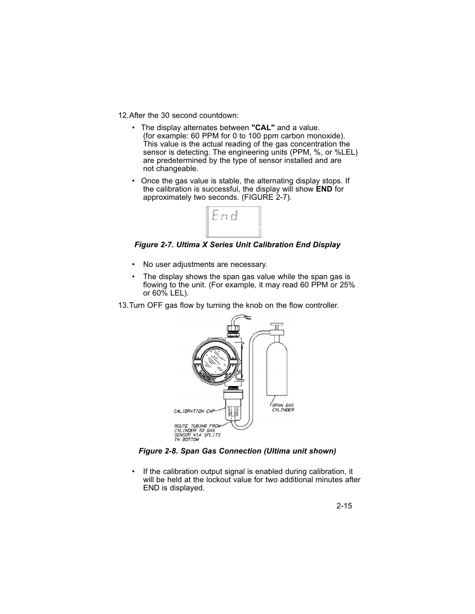12.After the 30 second countdown:

- The display alternates between **"CAL"** and a value. (for example: 60 PPM for 0 to 100 ppm carbon monoxide). This value is the actual reading of the gas concentration the sensor is detecting. The engineering units (PPM, %, or %LEL) are predetermined by the type of sensor installed and are not changeable.
- Once the gas value is stable, the alternating display stops. If the calibration is successful, the display will show **END** for approximately two seconds. (FIGURE 2-7).



*Figure 2-7. Ultima X Series Unit Calibration End Display*

- No user adjustments are necessary.
- The display shows the span gas value while the span gas is flowing to the unit. (For example, it may read 60 PPM or 25% or 60% LEL).
- 13.Turn OFF gas flow by turning the knob on the flow controller.



*Figure 2-8. Span Gas Connection (Ultima unit shown)*

• If the calibration output signal is enabled during calibration, it will be held at the lockout value for two additional minutes after END is displayed.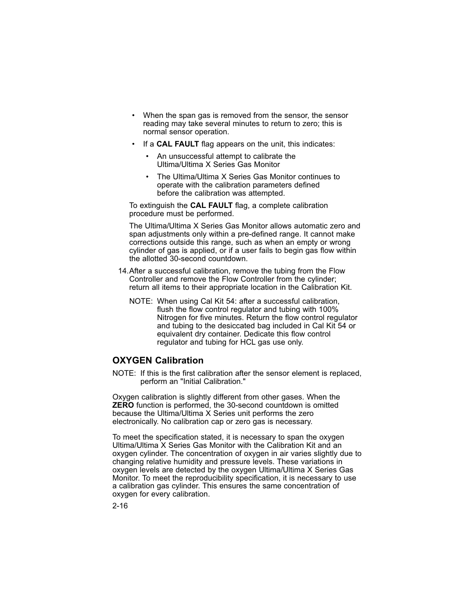- When the span gas is removed from the sensor, the sensor reading may take several minutes to return to zero; this is normal sensor operation.
- If a **CAL FAULT** flag appears on the unit, this indicates:
	- An unsuccessful attempt to calibrate the Ultima/Ultima X Series Gas Monitor
	- The Ultima/Ultima X Series Gas Monitor continues to operate with the calibration parameters defined before the calibration was attempted.

To extinguish the **CAL FAULT** flag, a complete calibration procedure must be performed.

The Ultima/Ultima X Series Gas Monitor allows automatic zero and span adjustments only within a pre-defined range. It cannot make corrections outside this range, such as when an empty or wrong cylinder of gas is applied, or if a user fails to begin gas flow within the allotted 30-second countdown.

- 14.After a successful calibration, remove the tubing from the Flow Controller and remove the Flow Controller from the cylinder; return all items to their appropriate location in the Calibration Kit.
	- NOTE: When using Cal Kit 54: after a successful calibration, flush the flow control regulator and tubing with 100% Nitrogen for five minutes. Return the flow control regulator and tubing to the desiccated bag included in Cal Kit 54 or equivalent dry container. Dedicate this flow control regulator and tubing for HCL gas use only.

### **OXYGEN Calibration**

NOTE: If this is the first calibration after the sensor element is replaced, perform an "Initial Calibration."

Oxygen calibration is slightly different from other gases. When the **ZERO** function is performed, the 30-second countdown is omitted because the Ultima/Ultima X Series unit performs the zero electronically. No calibration cap or zero gas is necessary.

To meet the specification stated, it is necessary to span the oxygen Ultima/Ultima X Series Gas Monitor with the Calibration Kit and an oxygen cylinder. The concentration of oxygen in air varies slightly due to changing relative humidity and pressure levels. These variations in oxygen levels are detected by the oxygen Ultima/Ultima X Series Gas Monitor. To meet the reproducibility specification, it is necessary to use a calibration gas cylinder. This ensures the same concentration of oxygen for every calibration.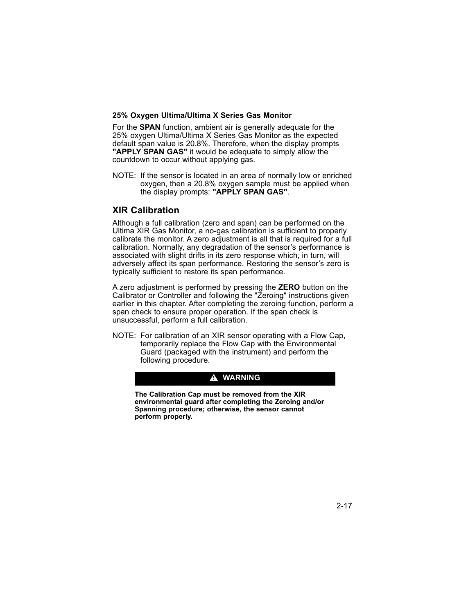#### **25% Oxygen Ultima/Ultima X Series Gas Monitor**

For the **SPAN** function, ambient air is generally adequate for the 25% oxygen Ultima/Ultima X Series Gas Monitor as the expected default span value is 20.8%. Therefore, when the display prompts **"APPLY SPAN GAS"** it would be adequate to simply allow the countdown to occur without applying gas.

NOTE: If the sensor is located in an area of normally low or enriched oxygen, then a 20.8% oxygen sample must be applied when the display prompts: **"APPLY SPAN GAS"**.

### **XIR Calibration**

Although a full calibration (zero and span) can be performed on the Ultima XIR Gas Monitor, a no-gas calibration is sufficient to properly calibrate the monitor. A zero adjustment is all that is required for a full calibration. Normally, any degradation of the sensor's performance is associated with slight drifts in its zero response which, in turn, will adversely affect its span performance. Restoring the sensor's zero is typically sufficient to restore its span performance.

A zero adjustment is performed by pressing the **ZERO** button on the Calibrator or Controller and following the "Zeroing" instructions given earlier in this chapter. After completing the zeroing function, perform a span check to ensure proper operation. If the span check is unsuccessful, perform a full calibration.

NOTE: For calibration of an XIR sensor operating with a Flow Cap, temporarily replace the Flow Cap with the Environmental Guard (packaged with the instrument) and perform the following procedure.

#### $\triangle$  WARNING

**The Calibration Cap must be removed from the XIR environmental guard after completing the Zeroing and/or Spanning procedure; otherwise, the sensor cannot perform properly.**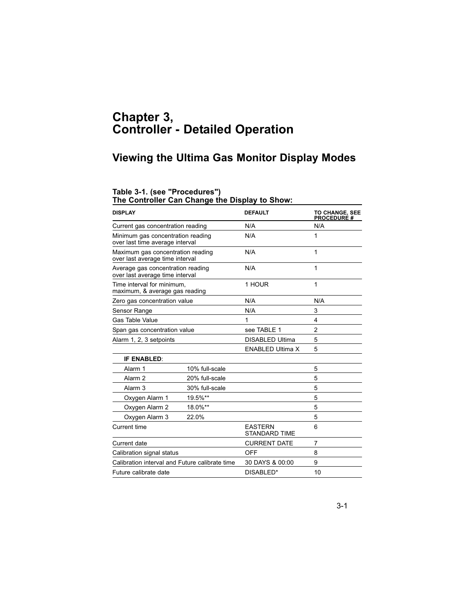# **Chapter 3, Controller - Detailed Operation**

# **Viewing the Ultima Gas Monitor Display Modes**

#### **Table 3-1. (see "Procedures")**

**The Controller Can Change the Display to Show:**

| <b>DISPLAY</b>                                                       |                | <b>DEFAULT</b>                         | <b>TO CHANGE, SEE</b><br><b>PROCEDURE #</b> |
|----------------------------------------------------------------------|----------------|----------------------------------------|---------------------------------------------|
| Current gas concentration reading                                    |                | N/A                                    | N/A                                         |
| Minimum gas concentration reading<br>over last time average interval |                | N/A                                    | 1                                           |
| Maximum gas concentration reading<br>over last average time interval |                | N/A                                    | 1                                           |
| Average gas concentration reading<br>over last average time interval |                | N/A                                    | 1                                           |
| Time interval for minimum.<br>maximum, & average gas reading         |                | 1 HOUR                                 | 1                                           |
| Zero gas concentration value                                         |                | N/A                                    | N/A                                         |
| Sensor Range                                                         |                | N/A                                    | 3                                           |
| Gas Table Value                                                      |                | 1                                      | 4                                           |
| Span gas concentration value                                         |                | see TABLE 1                            | $\overline{2}$                              |
| Alarm 1, 2, 3 setpoints                                              |                | <b>DISABLED Ultima</b>                 | 5                                           |
|                                                                      |                | <b>ENABLED Ultima X</b>                | 5                                           |
| <b>IF ENABLED:</b>                                                   |                |                                        |                                             |
| Alarm 1                                                              | 10% full-scale |                                        | 5                                           |
| Alarm <sub>2</sub>                                                   | 20% full-scale |                                        | 5                                           |
| Alarm <sub>3</sub>                                                   | 30% full-scale |                                        | 5                                           |
| Oxygen Alarm 1                                                       | 19.5%**        |                                        | 5                                           |
| Oxygen Alarm 2                                                       | 18.0%**        |                                        | 5                                           |
| Oxygen Alarm 3                                                       | 22.0%          |                                        | 5                                           |
| Current time                                                         |                | <b>EASTERN</b><br><b>STANDARD TIME</b> | 6                                           |
| Current date                                                         |                | <b>CURRENT DATE</b>                    | 7                                           |
| Calibration signal status                                            |                | OFF                                    | 8                                           |
| Calibration interval and Future calibrate time                       |                | 30 DAYS & 00:00                        | 9                                           |
| Future calibrate date                                                |                | DISABLED*                              | 10                                          |
|                                                                      |                |                                        |                                             |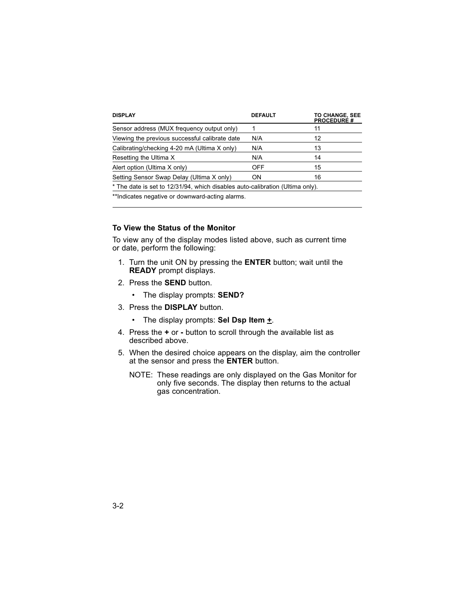| <b>DISPLAY</b>                                                                | <b>DEFAULT</b> | <b>TO CHANGE, SEE</b><br><b>PROCEDURE #</b> |
|-------------------------------------------------------------------------------|----------------|---------------------------------------------|
| Sensor address (MUX frequency output only)                                    |                | 11                                          |
| Viewing the previous successful calibrate date                                | N/A            | 12                                          |
| Calibrating/checking 4-20 mA (Ultima X only)                                  | N/A            | 13                                          |
| Resetting the Ultima X                                                        | N/A            | 14                                          |
| Alert option (Ultima X only)                                                  | <b>OFF</b>     | 15                                          |
| Setting Sensor Swap Delay (Ultima X only)                                     | ON.            | 16                                          |
| * The date is set to 12/31/94, which disables auto-calibration (Ultima only). |                |                                             |
| **Indicates negative or downward-acting alarms.                               |                |                                             |

#### **To View the Status of the Monitor**

To view any of the display modes listed above, such as current time or date, perform the following:

- 1. Turn the unit ON by pressing the **ENTER** button; wait until the **READY** prompt displays.
- 2. Press the **SEND** button.
	- The display prompts: **SEND?**
- 3. Press the **DISPLAY** button.
	- The display prompts: **Sel Dsp Item +**.
- 4. Press the **+** or **-** button to scroll through the available list as described above.
- 5. When the desired choice appears on the display, aim the controller at the sensor and press the **ENTER** button.
	- NOTE: These readings are only displayed on the Gas Monitor for only five seconds. The display then returns to the actual gas concentration.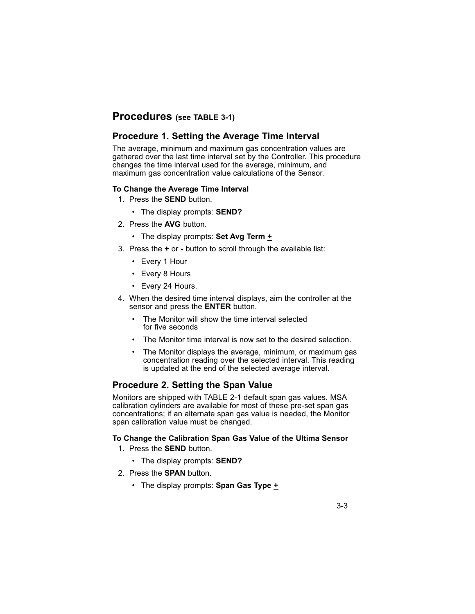# **Procedures (see TABLE 3-1)**

# **Procedure 1. Setting the Average Time Interval**

The average, minimum and maximum gas concentration values are gathered over the last time interval set by the Controller. This procedure changes the time interval used for the average, minimum, and maximum gas concentration value calculations of the Sensor.

#### **To Change the Average Time Interval**

- 1. Press the **SEND** button.
	- The display prompts: **SEND?**
- 2. Press the **AVG** button.
	- The display prompts: Set Avg Term  $\underline{+}$
- 3. Press the **+** or **-** button to scroll through the available list:
	- Every 1 Hour
	- Every 8 Hours
	- Every 24 Hours.
- 4. When the desired time interval displays, aim the controller at the sensor and press the **ENTER** button.
	- The Monitor will show the time interval selected for five seconds
	- The Monitor time interval is now set to the desired selection.
	- The Monitor displays the average, minimum, or maximum gas concentration reading over the selected interval. This reading is updated at the end of the selected average interval.

### **Procedure 2. Setting the Span Value**

Monitors are shipped with TABLE 2-1 default span gas values. MSA calibration cylinders are available for most of these pre-set span gas concentrations; if an alternate span gas value is needed, the Monitor span calibration value must be changed.

#### **To Change the Calibration Span Gas Value of the Ultima Sensor**

- 1. Press the **SEND** button.
	- The display prompts: **SEND?**
- 2. Press the **SPAN** button.
	- The display prompts: **Span Gas Type +**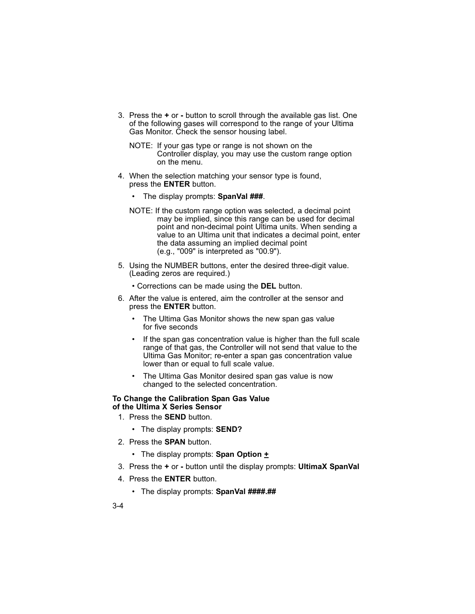- 3. Press the **+** or button to scroll through the available gas list. One of the following gases will correspond to the range of your Ultima Gas Monitor. Check the sensor housing label.
	- NOTE: If your gas type or range is not shown on the Controller display, you may use the custom range option on the menu.
- 4. When the selection matching your sensor type is found, press the **ENTER** button.
	- The display prompts: **SpanVal ###**.
	- NOTE: If the custom range option was selected, a decimal point may be implied, since this range can be used for decimal point and non-decimal point Ultima units. When sending a value to an Ultima unit that indicates a decimal point, enter the data assuming an implied decimal point (e.g., "009" is interpreted as "00.9").
- 5. Using the NUMBER buttons, enter the desired three-digit value. (Leading zeros are required.)
	- Corrections can be made using the **DEL** button.
- 6. After the value is entered, aim the controller at the sensor and press the **ENTER** button.
	- The Ultima Gas Monitor shows the new span gas value for five seconds
	- If the span gas concentration value is higher than the full scale range of that gas, the Controller will not send that value to the Ultima Gas Monitor; re-enter a span gas concentration value lower than or equal to full scale value.
	- The Ultima Gas Monitor desired span gas value is now changed to the selected concentration.

#### **To Change the Calibration Span Gas Value of the Ultima X Series Sensor**

- 1. Press the **SEND** button.
	- The display prompts: **SEND?**
- 2. Press the **SPAN** button.
	- The display prompts: **Span Option +**
- 3. Press the **+** or button until the display prompts: **UltimaX SpanVal**
- 4. Press the **ENTER** button.
	- The display prompts: **SpanVal ####.##**
- 3-4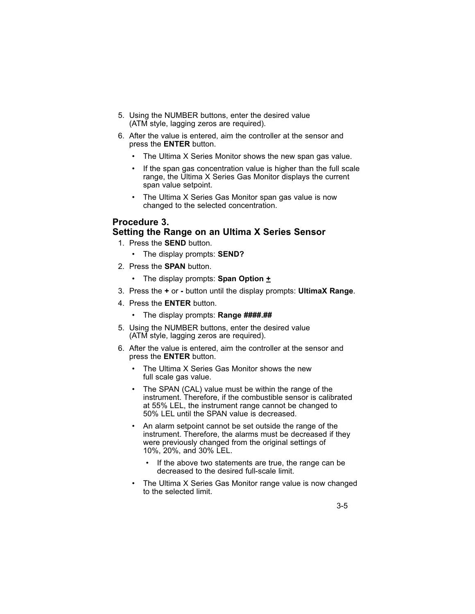- 5. Using the NUMBER buttons, enter the desired value (ATM style, lagging zeros are required).
- 6. After the value is entered, aim the controller at the sensor and press the **ENTER** button.
	- The Ultima X Series Monitor shows the new span gas value.
	- If the span gas concentration value is higher than the full scale range, the Ultima X Series Gas Monitor displays the current span value setpoint.
	- The Ultima X Series Gas Monitor span gas value is now changed to the selected concentration.

### **Procedure 3.**

#### **Setting the Range on an Ultima X Series Sensor**

- 1. Press the **SEND** button.
	- The display prompts: **SEND?**
- 2. Press the **SPAN** button.
	- The display prompts: **Span Option +**
- 3. Press the **+** or button until the display prompts: **UltimaX Range**.
- 4. Press the **ENTER** button.
	- The display prompts: **Range ####.##**
- 5. Using the NUMBER buttons, enter the desired value (ATM style, lagging zeros are required).
- 6. After the value is entered, aim the controller at the sensor and press the **ENTER** button.
	- The Ultima X Series Gas Monitor shows the new full scale gas value.
	- The SPAN (CAL) value must be within the range of the instrument. Therefore, if the combustible sensor is calibrated at 55% LEL, the instrument range cannot be changed to 50% LEL until the SPAN value is decreased.
	- An alarm setpoint cannot be set outside the range of the instrument. Therefore, the alarms must be decreased if they were previously changed from the original settings of 10%, 20%, and 30% LEL.
		- If the above two statements are true, the range can be decreased to the desired full-scale limit.
	- The Ultima X Series Gas Monitor range value is now changed to the selected limit.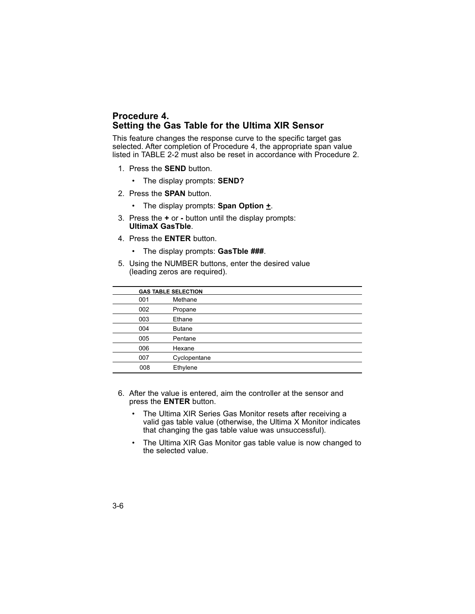### **Procedure 4. Setting the Gas Table for the Ultima XIR Sensor**

This feature changes the response curve to the specific target gas selected. After completion of Procedure 4, the appropriate span value listed in TABLE 2-2 must also be reset in accordance with Procedure 2.

- 1. Press the **SEND** button.
	- The display prompts: **SEND?**
- 2. Press the **SPAN** button.
	- The display prompts: **Span Option +**.
- 3. Press the **+** or button until the display prompts: **UltimaX GasTble**.
- 4. Press the **ENTER** button.
	- The display prompts: **GasTble ###**.
- 5. Using the NUMBER buttons, enter the desired value (leading zeros are required).

|     | <b>GAS TABLE SELECTION</b> |
|-----|----------------------------|
| 001 | Methane                    |
| 002 | Propane                    |
| 003 | Ethane                     |
| 004 | <b>Butane</b>              |
| 005 | Pentane                    |
| 006 | Hexane                     |
| 007 | Cyclopentane               |
| 008 | Ethylene                   |

- 6. After the value is entered, aim the controller at the sensor and press the **ENTER** button.
	- The Ultima XIR Series Gas Monitor resets after receiving a valid gas table value (otherwise, the Ultima X Monitor indicates that changing the gas table value was unsuccessful).
	- The Ultima XIR Gas Monitor gas table value is now changed to the selected value.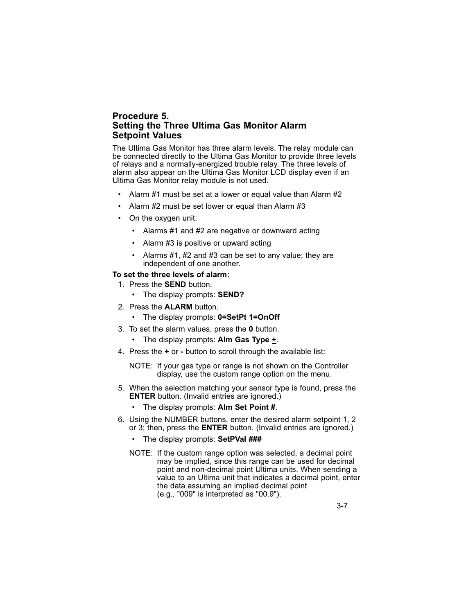#### **Procedure 5. Setting the Three Ultima Gas Monitor Alarm Setpoint Values**

The Ultima Gas Monitor has three alarm levels. The relay module can be connected directly to the Ultima Gas Monitor to provide three levels of relays and a normally-energized trouble relay. The three levels of alarm also appear on the Ultima Gas Monitor LCD display even if an Ultima Gas Monitor relay module is not used.

- Alarm #1 must be set at a lower or equal value than Alarm #2
- Alarm #2 must be set lower or equal than Alarm #3
- On the oxygen unit:
	- Alarms #1 and #2 are negative or downward acting
	- Alarm #3 is positive or upward acting
	- Alarms #1, #2 and #3 can be set to any value; they are independent of one another.

#### **To set the three levels of alarm:**

- 1. Press the **SEND** button.
	- The display prompts: **SEND?**
- 2. Press the **ALARM** button.
	- The display prompts: **0=SetPt 1=OnOff**
- 3. To set the alarm values, press the **0** button.
	- The display prompts: **Alm Gas Type +**.
- 4. Press the **+** or **-** button to scroll through the available list:
	- NOTE: If your gas type or range is not shown on the Controller display, use the custom range option on the menu.
- 5. When the selection matching your sensor type is found, press the **ENTER** button. (Invalid entries are ignored.)
	- The display prompts: **Alm Set Point #**.
- 6. Using the NUMBER buttons, enter the desired alarm setpoint 1, 2 or 3; then, press the **ENTER** button. (Invalid entries are ignored.)
	- The display prompts: **SetPVal ###**
	- NOTE: If the custom range option was selected, a decimal point may be implied, since this range can be used for decimal point and non-decimal point Ultima units. When sending a value to an Ultima unit that indicates a decimal point, enter the data assuming an implied decimal point (e.g., "009" is interpreted as "00.9").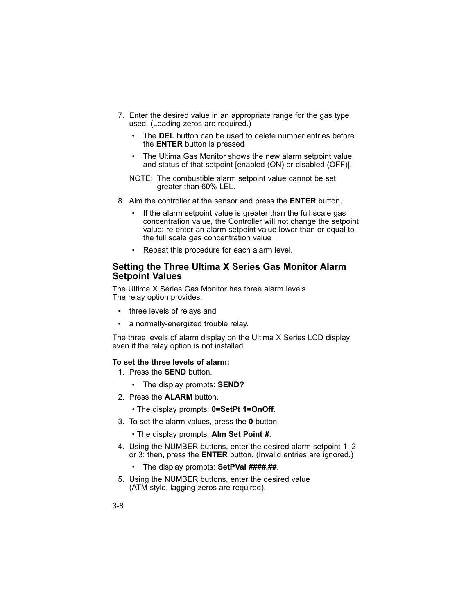- 7. Enter the desired value in an appropriate range for the gas type used. (Leading zeros are required.)
	- The **DEL** button can be used to delete number entries before the **ENTER** button is pressed
	- The Ultima Gas Monitor shows the new alarm setpoint value and status of that setpoint [enabled (ON) or disabled (OFF)].
	- NOTE: The combustible alarm setpoint value cannot be set greater than 60% LEL.
- 8. Aim the controller at the sensor and press the **ENTER** button.
	- If the alarm setpoint value is greater than the full scale gas concentration value, the Controller will not change the setpoint value; re-enter an alarm setpoint value lower than or equal to the full scale gas concentration value
	- Repeat this procedure for each alarm level.

### **Setting the Three Ultima X Series Gas Monitor Alarm Setpoint Values**

The Ultima X Series Gas Monitor has three alarm levels. The relay option provides:

- three levels of relays and
- a normally-energized trouble relay.

The three levels of alarm display on the Ultima X Series LCD display even if the relay option is not installed.

#### **To set the three levels of alarm:**

- 1. Press the **SEND** button.
	- The display prompts: **SEND?**
- 2. Press the **ALARM** button.
	- The display prompts: **0=SetPt 1=OnOff**.
- 3. To set the alarm values, press the **0** button.
	- The display prompts: **Alm Set Point #**.
- 4. Using the NUMBER buttons, enter the desired alarm setpoint 1, 2 or 3; then, press the **ENTER** button. (Invalid entries are ignored.)
	- The display prompts: **SetPVal ####.##**.
- 5. Using the NUMBER buttons, enter the desired value (ATM style, lagging zeros are required).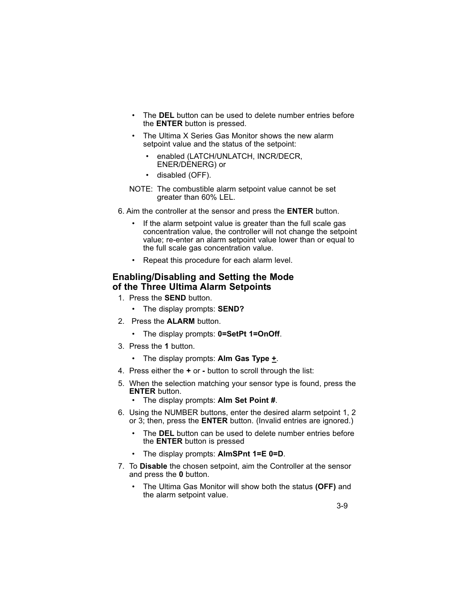- The DEL button can be used to delete number entries before the **ENTER** button is pressed.
- The Ultima X Series Gas Monitor shows the new alarm setpoint value and the status of the setpoint:
	- enabled (LATCH/UNLATCH, INCR/DECR, ENER/DENERG) or
	- disabled (OFF).
- NOTE: The combustible alarm setpoint value cannot be set greater than 60% LEL.
- 6. Aim the controller at the sensor and press the **ENTER** button.
	- If the alarm setpoint value is greater than the full scale gas concentration value, the controller will not change the setpoint value; re-enter an alarm setpoint value lower than or equal to the full scale gas concentration value.
	- Repeat this procedure for each alarm level.

### **Enabling/Disabling and Setting the Mode of the Three Ultima Alarm Setpoints**

- 1. Press the **SEND** button.
	- The display prompts: **SEND?**
- 2. Press the **ALARM** button.
	- The display prompts: **0=SetPt 1=OnOff**.
- 3. Press the **1** button.
	- The display prompts: **Alm Gas Type +**.
- 4. Press either the **+** or button to scroll through the list:
- 5. When the selection matching your sensor type is found, press the **ENTER** button.
	- The display prompts: **Alm Set Point #**.
- 6. Using the NUMBER buttons, enter the desired alarm setpoint 1, 2 or 3; then, press the **ENTER** button. (Invalid entries are ignored.)
	- The **DEL** button can be used to delete number entries before the **ENTER** button is pressed
	- The display prompts: **AlmSPnt 1=E 0=D**.
- 7. To **Disable** the chosen setpoint, aim the Controller at the sensor and press the **0** button.
	- The Ultima Gas Monitor will show both the status **(OFF)** and the alarm setpoint value.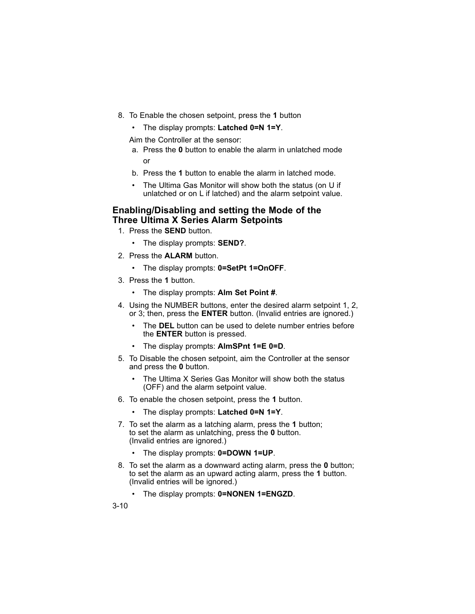- 8. To Enable the chosen setpoint, press the **1** button
	- The display prompts: **Latched 0=N 1=Y**.

Aim the Controller at the sensor:

- a. Press the **0** button to enable the alarm in unlatched mode or
- b. Press the **1** button to enable the alarm in latched mode.
- The Ultima Gas Monitor will show both the status (on U if unlatched or on L if latched) and the alarm setpoint value.

### **Enabling/Disabling and setting the Mode of the Three Ultima X Series Alarm Setpoints**

- 1. Press the **SEND** button.
	- The display prompts: **SEND?**.
- 2. Press the **ALARM** button.
	- The display prompts: **0=SetPt 1=OnOFF**.
- 3. Press the **1** button.
	- The display prompts: **Alm Set Point #**.
- 4. Using the NUMBER buttons, enter the desired alarm setpoint 1, 2, or 3; then, press the **ENTER** button. (Invalid entries are ignored.)
	- The **DEL** button can be used to delete number entries before the **ENTER** button is pressed.
	- The display prompts: **AlmSPnt 1=E 0=D**.
- 5. To Disable the chosen setpoint, aim the Controller at the sensor and press the **0** button.
	- The Ultima X Series Gas Monitor will show both the status (OFF) and the alarm setpoint value.
- 6. To enable the chosen setpoint, press the **1** button.
	- The display prompts: **Latched 0=N 1=Y**.
- 7. To set the alarm as a latching alarm, press the **1** button; to set the alarm as unlatching, press the **0** button. (Invalid entries are ignored.)
	- The display prompts: **0=DOWN 1=UP**.
- 8. To set the alarm as a downward acting alarm, press the **0** button; to set the alarm as an upward acting alarm, press the **1** button. (Invalid entries will be ignored.)
	- The display prompts: **0=NONEN 1=ENGZD**.

3-10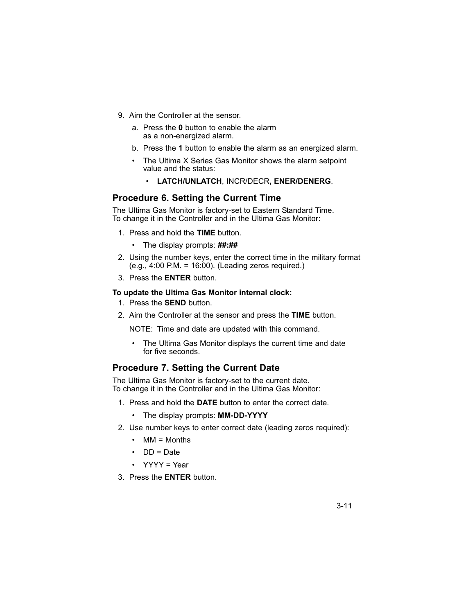- 9. Aim the Controller at the sensor.
	- a. Press the **0** button to enable the alarm as a non-energized alarm.
	- b. Press the **1** button to enable the alarm as an energized alarm.
	- The Ultima X Series Gas Monitor shows the alarm setpoint value and the status:
		- **LATCH/UNLATCH**, INCR/DECR**, ENER/DENERG**.

#### **Procedure 6. Setting the Current Time**

The Ultima Gas Monitor is factory-set to Eastern Standard Time. To change it in the Controller and in the Ultima Gas Monitor:

- 1. Press and hold the **TIME** button.
	- The display prompts: **##:##**
- 2. Using the number keys, enter the correct time in the military format (e.g., 4:00 P.M. = 16:00). (Leading zeros required.)
- 3. Press the **ENTER** button.

#### **To update the Ultima Gas Monitor internal clock:**

- 1. Press the **SEND** button.
- 2. Aim the Controller at the sensor and press the **TIME** button.

NOTE: Time and date are updated with this command.

The Ultima Gas Monitor displays the current time and date for five seconds.

### **Procedure 7. Setting the Current Date**

The Ultima Gas Monitor is factory-set to the current date. To change it in the Controller and in the Ultima Gas Monitor:

- 1. Press and hold the **DATE** button to enter the correct date.
	- The display prompts: **MM-DD-YYYY**
- 2. Use number keys to enter correct date (leading zeros required):
	- MM = Months
	- DD = Date
	- YYYY = Year
- 3. Press the **ENTER** button.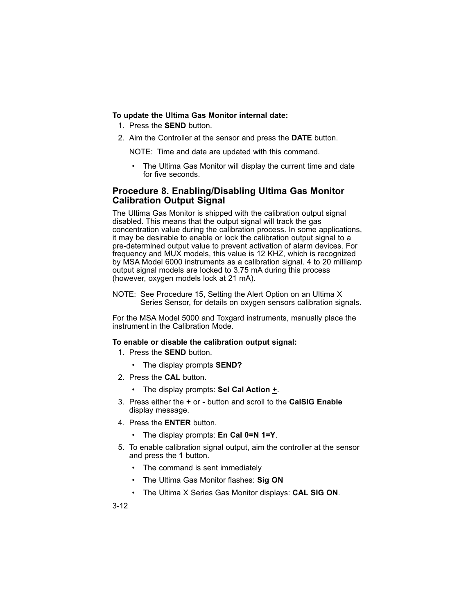#### **To update the Ultima Gas Monitor internal date:**

- 1. Press the **SEND** button.
- 2. Aim the Controller at the sensor and press the **DATE** button.

NOTE: Time and date are updated with this command.

The Ultima Gas Monitor will display the current time and date for five seconds.

# **Procedure 8. Enabling/Disabling Ultima Gas Monitor Calibration Output Signal**

The Ultima Gas Monitor is shipped with the calibration output signal disabled. This means that the output signal will track the gas concentration value during the calibration process. In some applications, it may be desirable to enable or lock the calibration output signal to a pre-determined output value to prevent activation of alarm devices. For frequency and MUX models, this value is 12 KHZ, which is recognized by MSA Model 6000 instruments as a calibration signal. 4 to 20 milliamp output signal models are locked to 3.75 mA during this process (however, oxygen models lock at 21 mA).

NOTE: See Procedure 15, Setting the Alert Option on an Ultima X Series Sensor, for details on oxygen sensors calibration signals.

For the MSA Model 5000 and Toxgard instruments, manually place the instrument in the Calibration Mode.

#### **To enable or disable the calibration output signal:**

- 1. Press the **SEND** button.
	- The display prompts **SEND?**
- 2. Press the **CAL** button.
	- The display prompts: **Sel Cal Action +**.
- 3. Press either the **+** or button and scroll to the **CalSIG Enable** display message.
- 4. Press the **ENTER** button.
	- The display prompts: **En Cal 0=N 1=Y**.
- 5. To enable calibration signal output, aim the controller at the sensor and press the **1** button.
	- The command is sent immediately
	- The Ultima Gas Monitor flashes: **Sig ON**
	- The Ultima X Series Gas Monitor displays: **CAL SIG ON**.

3-12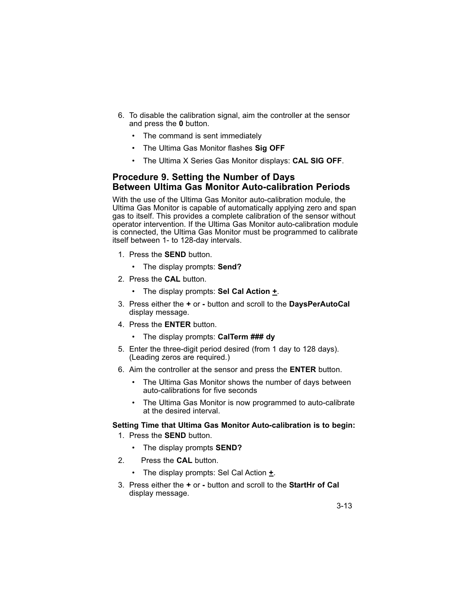- 6. To disable the calibration signal, aim the controller at the sensor and press the **0** button.
	- The command is sent immediately
	- The Ultima Gas Monitor flashes **Sig OFF**
	- The Ultima X Series Gas Monitor displays: **CAL SIG OFF**.

# **Procedure 9. Setting the Number of Days Between Ultima Gas Monitor Auto-calibration Periods**

With the use of the Ultima Gas Monitor auto-calibration module, the Ultima Gas Monitor is capable of automatically applying zero and span gas to itself. This provides a complete calibration of the sensor without operator intervention. If the Ultima Gas Monitor auto-calibration module is connected, the Ultima Gas Monitor must be programmed to calibrate itself between 1- to 128-day intervals.

- 1. Press the **SEND** button.
	- The display prompts: **Send?**
- 2. Press the **CAL** button.
	- The display prompts: **Sel Cal Action +**.
- 3. Press either the **+** or **-** button and scroll to the **DaysPerAutoCal** display message.
- 4. Press the **ENTER** button.
	- The display prompts: **CalTerm ### dy**
- 5. Enter the three-digit period desired (from 1 day to 128 days). (Leading zeros are required.)
- 6. Aim the controller at the sensor and press the **ENTER** button.
	- The Ultima Gas Monitor shows the number of days between auto-calibrations for five seconds
	- The Ultima Gas Monitor is now programmed to auto-calibrate at the desired interval.

#### **Setting Time that Ultima Gas Monitor Auto-calibration is to begin:**

- 1. Press the **SEND** button.
	- The display prompts **SEND?**
- 2. Press the **CAL** button.
	- The display prompts: Sel Cal Action **+**.
- 3. Press either the **+** or **-** button and scroll to the **StartHr of Cal** display message.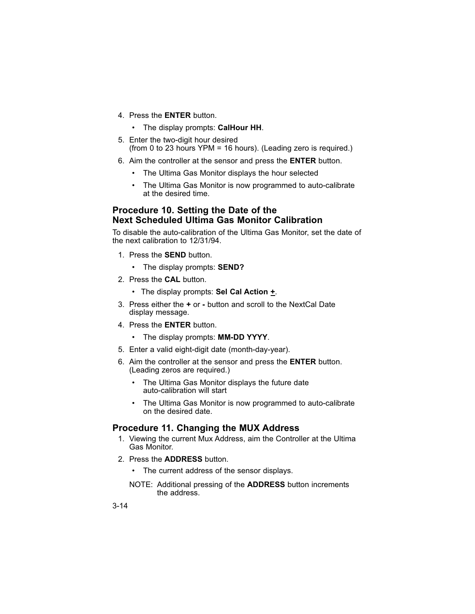- 4. Press the **ENTER** button.
	- The display prompts: **CalHour HH**.
- 5. Enter the two-digit hour desired (from 0 to 23 hours YPM = 16 hours). (Leading zero is required.)
- 6. Aim the controller at the sensor and press the **ENTER** button.
	- The Ultima Gas Monitor displays the hour selected
	- The Ultima Gas Monitor is now programmed to auto-calibrate at the desired time.

#### **Procedure 10. Setting the Date of the Next Scheduled Ultima Gas Monitor Calibration**

To disable the auto-calibration of the Ultima Gas Monitor, set the date of the next calibration to 12/31/94.

- 1. Press the **SEND** button.
	- The display prompts: **SEND?**
- 2. Press the **CAL** button.
	- The display prompts: **Sel Cal Action +**.
- 3. Press either the **+** or **-** button and scroll to the NextCal Date display message.
- 4. Press the **ENTER** button.
	- The display prompts: **MM-DD YYYY**.
- 5. Enter a valid eight-digit date (month-day-year).
- 6. Aim the controller at the sensor and press the **ENTER** button. (Leading zeros are required.)
	- The Ultima Gas Monitor displays the future date auto-calibration will start
	- The Ultima Gas Monitor is now programmed to auto-calibrate on the desired date.

### **Procedure 11. Changing the MUX Address**

- 1. Viewing the current Mux Address, aim the Controller at the Ultima Gas Monitor.
- 2. Press the **ADDRESS** button.
	- The current address of the sensor displays.
	- NOTE: Additional pressing of the **ADDRESS** button increments the address.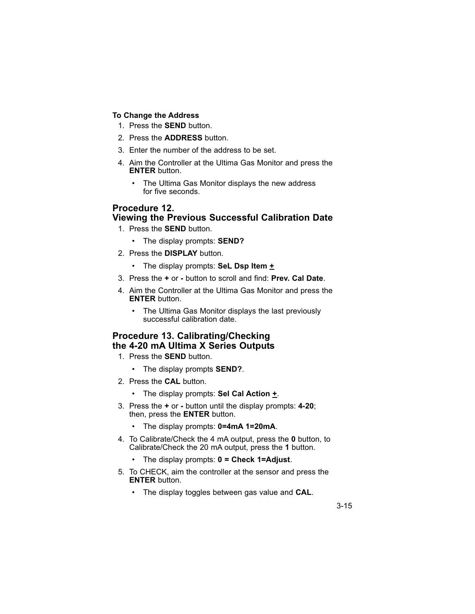# **To Change the Address**

- 1. Press the **SEND** button.
- 2. Press the **ADDRESS** button.
- 3. Enter the number of the address to be set.
- 4. Aim the Controller at the Ultima Gas Monitor and press the **ENTER** button.
	- The Ultima Gas Monitor displays the new address for five seconds.

# **Procedure 12.**

# **Viewing the Previous Successful Calibration Date**

- 1. Press the **SEND** button.
	- The display prompts: **SEND?**
- 2. Press the **DISPLAY** button.
	- The display prompts: **SeL Dsp Item +**
- 3. Press the **+** or **-** button to scroll and find: **Prev. Cal Date**.
- 4. Aim the Controller at the Ultima Gas Monitor and press the **ENTER** button.
	- The Ultima Gas Monitor displays the last previously successful calibration date.

# **Procedure 13. Calibrating/Checking the 4-20 mA Ultima X Series Outputs**

- 1. Press the **SEND** button.
	- The display prompts **SEND?**.
- 2. Press the **CAL** button.
	- The display prompts: **Sel Cal Action +**.
- 3. Press the **+** or button until the display prompts: **4-20**; then, press the **ENTER** button.
	- The display prompts: **0=4mA 1=20mA**.
- 4. To Calibrate/Check the 4 mA output, press the **0** button, to Calibrate/Check the 20 mA output, press the **1** button.
	- The display prompts: **0 = Check 1=Adjust**.
- 5. To CHECK, aim the controller at the sensor and press the **ENTER** button.
	- The display toggles between gas value and **CAL**.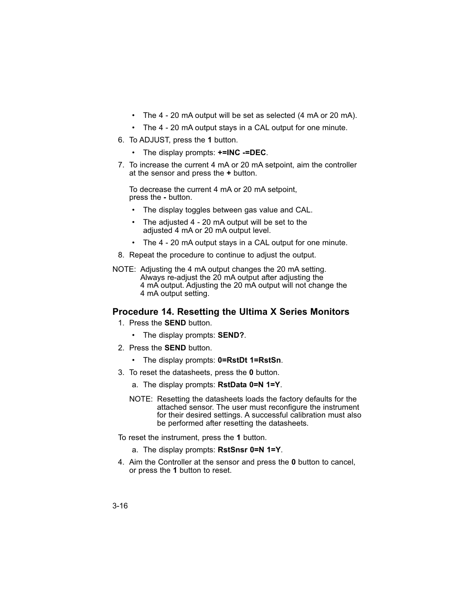- The 4 20 mA output will be set as selected (4 mA or 20 mA).
- The 4 20 mA output stays in a CAL output for one minute.
- 6. To ADJUST, press the **1** button.
	- The display prompts: **+=INC -=DEC**.
- 7. To increase the current 4 mA or 20 mA setpoint, aim the controller at the sensor and press the **+** button.

To decrease the current 4 mA or 20 mA setpoint, press the **-** button.

- The display toggles between gas value and CAL.
- The adjusted 4 20 mA output will be set to the adjusted 4 mA or 20 mA output level.
- The 4 20 mA output stays in a CAL output for one minute.
- 8. Repeat the procedure to continue to adjust the output.
- NOTE: Adjusting the 4 mA output changes the 20 mA setting. Always re-adjust the 20 mA output after adjusting the 4 mA output. Adjusting the 20 mA output will not change the 4 mA output setting.

#### **Procedure 14. Resetting the Ultima X Series Monitors**

- 1. Press the **SEND** button.
	- The display prompts: **SEND?**.
- 2. Press the **SEND** button.
	- The display prompts: **0=RstDt 1=RstSn**.
- 3. To reset the datasheets, press the **0** button.
	- a. The display prompts: **RstData 0=N 1=Y**.
	- NOTE: Resetting the datasheets loads the factory defaults for the attached sensor. The user must reconfigure the instrument for their desired settings. A successful calibration must also be performed after resetting the datasheets.
- To reset the instrument, press the **1** button.
	- a. The display prompts: **RstSnsr 0=N 1=Y**.
- 4. Aim the Controller at the sensor and press the **0** button to cancel, or press the **1** button to reset.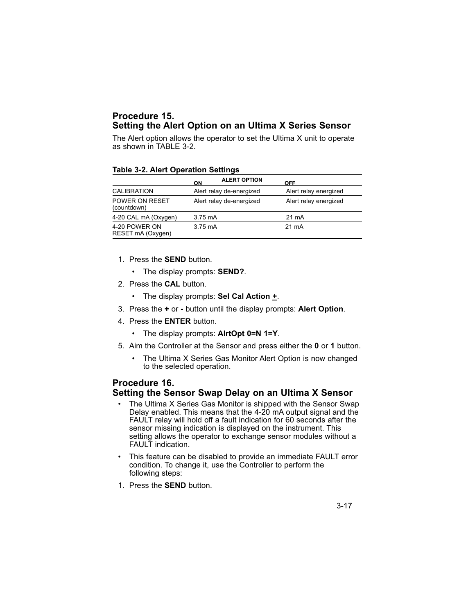# **Procedure 15. Setting the Alert Option on an Ultima X Series Sensor**

The Alert option allows the operator to set the Ultima X unit to operate as shown in TABLE 3-2.

#### **Table 3-2. Alert Operation Settings**

|                                    | ON                | <b>ALERT OPTION</b>      | <b>OFF</b>            |
|------------------------------------|-------------------|--------------------------|-----------------------|
| <b>CALIBRATION</b>                 |                   | Alert relay de-energized | Alert relay energized |
| POWER ON RESET<br>(countdown)      |                   | Alert relay de-energized | Alert relay energized |
| 4-20 CAL mA (Oxygen)               | 3.75 mA           |                          | $21 \text{ mA}$       |
| 4-20 POWER ON<br>RESET mA (Oxygen) | $3.75 \text{ mA}$ |                          | $21 \text{ mA}$       |

- 1. Press the **SEND** button.
	- The display prompts: **SEND?**.
- 2. Press the **CAL** button.
	- The display prompts: **Sel Cal Action +**.
- 3. Press the **+** or **-** button until the display prompts: **Alert Option**.
- 4. Press the **ENTER** button.
	- The display prompts: **AlrtOpt 0=N 1=Y**.
- 5. Aim the Controller at the Sensor and press either the **0** or **1** button.
	- The Ultima X Series Gas Monitor Alert Option is now changed to the selected operation.

# **Procedure 16. Setting the Sensor Swap Delay on an Ultima X Sensor**

- The Ultima X Series Gas Monitor is shipped with the Sensor Swap Delay enabled. This means that the 4-20 mA output signal and the FAULT relay will hold off a fault indication for 60 seconds after the sensor missing indication is displayed on the instrument. This setting allows the operator to exchange sensor modules without a FAULT indication.
- This feature can be disabled to provide an immediate FAULT error condition. To change it, use the Controller to perform the following steps:
- 1. Press the **SEND** button.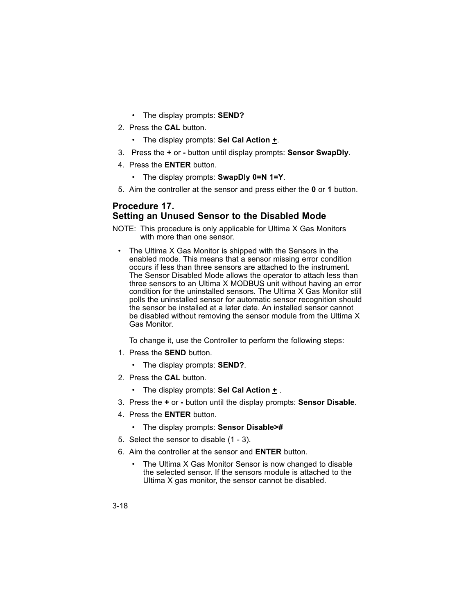- The display prompts: **SEND?**
- 2. Press the **CAL** button.
	- The display prompts: **Sel Cal Action +**.
- 3. Press the **+** or **-** button until display prompts: **Sensor SwapDly**.
- 4. Press the **ENTER** button.
	- The display prompts: **SwapDly 0=N 1=Y**.
- 5. Aim the controller at the sensor and press either the **0** or **1** button.

#### **Procedure 17. Setting an Unused Sensor to the Disabled Mode**

- NOTE: This procedure is only applicable for Ultima X Gas Monitors with more than one sensor.
- The Ultima X Gas Monitor is shipped with the Sensors in the enabled mode. This means that a sensor missing error condition occurs if less than three sensors are attached to the instrument. The Sensor Disabled Mode allows the operator to attach less than three sensors to an Ultima X MODBUS unit without having an error condition for the uninstalled sensors. The Ultima X Gas Monitor still polls the uninstalled sensor for automatic sensor recognition should the sensor be installed at a later date. An installed sensor cannot be disabled without removing the sensor module from the Ultima X Gas Monitor.

To change it, use the Controller to perform the following steps:

- 1. Press the **SEND** button.
	- The display prompts: **SEND?**.
- 2. Press the **CAL** button.
	- The display prompts: **Sel Cal Action +** .
- 3. Press the **+** or **-** button until the display prompts: **Sensor Disable**.
- 4. Press the **ENTER** button.
	- The display prompts: **Sensor Disable>#**
- 5. Select the sensor to disable (1 3).
- 6. Aim the controller at the sensor and **ENTER** button.
	- The Ultima X Gas Monitor Sensor is now changed to disable the selected sensor. If the sensors module is attached to the Ultima X gas monitor, the sensor cannot be disabled.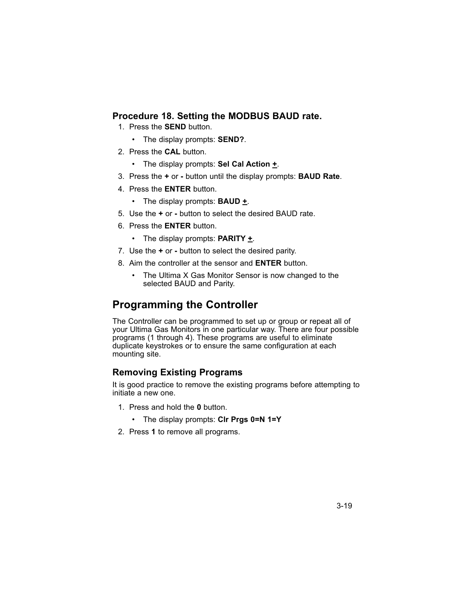# **Procedure 18. Setting the MODBUS BAUD rate.**

- 1. Press the **SEND** button.
	- The display prompts: **SEND?**.
- 2. Press the **CAL** button.
	- The display prompts: **Sel Cal Action +**.
- 3. Press the **+** or **-** button until the display prompts: **BAUD Rate**.
- 4. Press the **ENTER** button.
	- The display prompts: **BAUD +**.
- 5. Use the **+** or **-** button to select the desired BAUD rate.
- 6. Press the **ENTER** button.
	- The display prompts: **PARITY +**.
- 7. Use the **+** or **-** button to select the desired parity.
- 8. Aim the controller at the sensor and **ENTER** button.
	- The Ultima X Gas Monitor Sensor is now changed to the selected BAUD and Parity.

# **Programming the Controller**

The Controller can be programmed to set up or group or repeat all of your Ultima Gas Monitors in one particular way. There are four possible programs (1 through 4). These programs are useful to eliminate duplicate keystrokes or to ensure the same configuration at each mounting site.

# **Removing Existing Programs**

It is good practice to remove the existing programs before attempting to initiate a new one.

- 1. Press and hold the **0** button.
	- The display prompts: **Clr Prgs 0=N 1=Y**
- 2. Press **1** to remove all programs.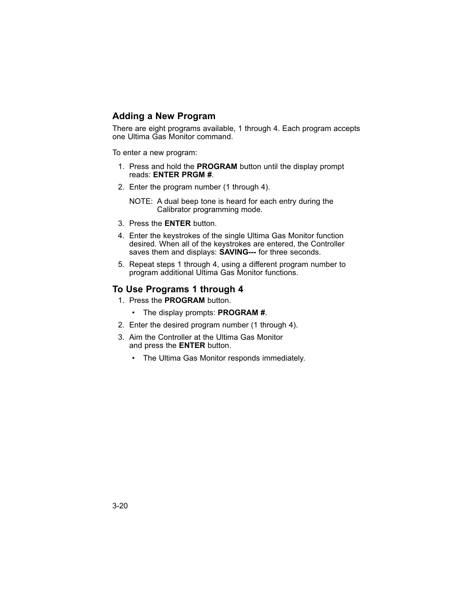#### **Adding a New Program**

There are eight programs available, 1 through 4. Each program accepts one Ultima Gas Monitor command.

To enter a new program:

- 1. Press and hold the **PROGRAM** button until the display prompt reads: **ENTER PRGM #**.
- 2. Enter the program number (1 through 4).

NOTE: A dual beep tone is heard for each entry during the Calibrator programming mode.

- 3. Press the **ENTER** button.
- 4. Enter the keystrokes of the single Ultima Gas Monitor function desired. When all of the keystrokes are entered, the Controller saves them and displays: **SAVING---** for three seconds.
- 5. Repeat steps 1 through 4, using a different program number to program additional Ultima Gas Monitor functions.

#### **To Use Programs 1 through 4**

- 1. Press the **PROGRAM** button.
	- The display prompts: **PROGRAM #**.
- 2. Enter the desired program number (1 through 4).
- 3. Aim the Controller at the Ultima Gas Monitor and press the **ENTER** button.
	- The Ultima Gas Monitor responds immediately.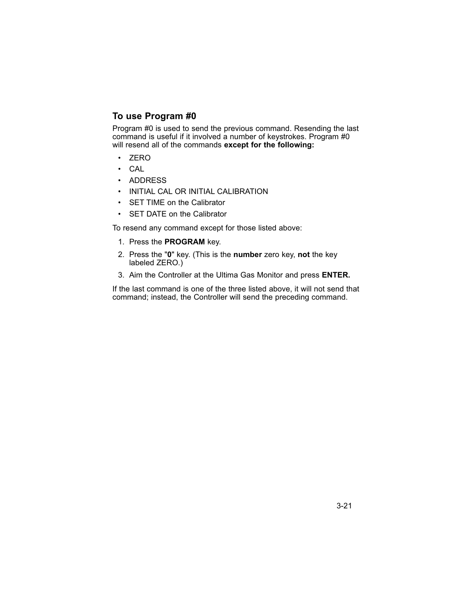# **To use Program #0**

Program #0 is used to send the previous command. Resending the last command is useful if it involved a number of keystrokes. Program #0 will resend all of the commands **except for the following:**

- ZERO
- CAL
- ADDRESS
- INITIAL CAL OR INITIAL CALIBRATION
- SET TIME on the Calibrator
- SET DATE on the Calibrator

To resend any command except for those listed above:

- 1. Press the **PROGRAM** key.
- 2. Press the "**0**" key. (This is the **number** zero key, **not** the key labeled ZERO.)
- 3. Aim the Controller at the Ultima Gas Monitor and press **ENTER.**

If the last command is one of the three listed above, it will not send that command; instead, the Controller will send the preceding command.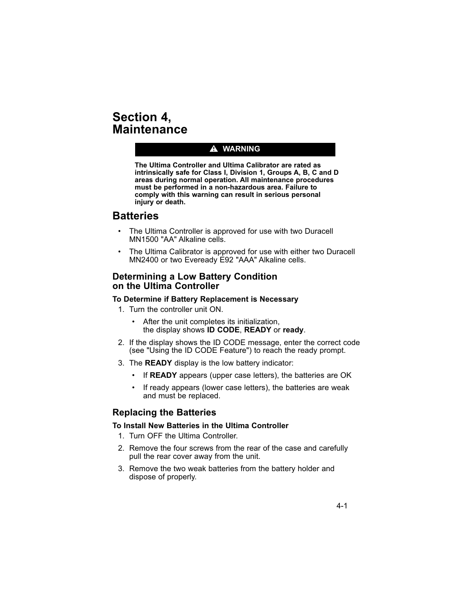# **Section 4, Maintenance**

### $\triangle$  WARNING

**The Ultima Controller and Ultima Calibrator are rated as intrinsically safe for Class I, Division 1, Groups A, B, C and D areas during normal operation. All maintenance procedures must be performed in a non-hazardous area. Failure to comply with this warning can result in serious personal injury or death.**

# **Batteries**

- The Ultima Controller is approved for use with two Duracell MN1500 "AA" Alkaline cells.
- The Ultima Calibrator is approved for use with either two Duracell MN2400 or two Eveready E92 "AAA" Alkaline cells.

#### **Determining a Low Battery Condition on the Ultima Controller**

#### **To Determine if Battery Replacement is Necessary**

- 1. Turn the controller unit ON.
	- After the unit completes its initialization, the display shows **ID CODE**, **READY** or **ready**.
- 2. If the display shows the ID CODE message, enter the correct code (see "Using the ID CODE Feature") to reach the ready prompt.
- 3. The **READY** display is the low battery indicator:
	- If **READY** appears (upper case letters), the batteries are OK
	- If ready appears (lower case letters), the batteries are weak and must be replaced.

### **Replacing the Batteries**

#### **To Install New Batteries in the Ultima Controller**

- 1. Turn OFF the Ultima Controller.
- 2. Remove the four screws from the rear of the case and carefully pull the rear cover away from the unit.
- 3. Remove the two weak batteries from the battery holder and dispose of properly.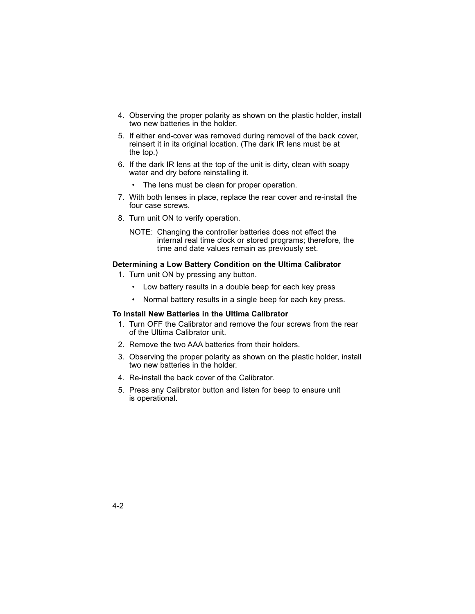- 4. Observing the proper polarity as shown on the plastic holder, install two new batteries in the holder.
- 5. If either end-cover was removed during removal of the back cover, reinsert it in its original location. (The dark IR lens must be at the top.)
- 6. If the dark IR lens at the top of the unit is dirty, clean with soapy water and dry before reinstalling it.
	- The lens must be clean for proper operation.
- 7. With both lenses in place, replace the rear cover and re-install the four case screws.
- 8. Turn unit ON to verify operation.
	- NOTE: Changing the controller batteries does not effect the internal real time clock or stored programs; therefore, the time and date values remain as previously set.

#### **Determining a Low Battery Condition on the Ultima Calibrator**

- 1. Turn unit ON by pressing any button.
	- Low battery results in a double beep for each key press
	- Normal battery results in a single beep for each key press.

#### **To Install New Batteries in the Ultima Calibrator**

- 1. Turn OFF the Calibrator and remove the four screws from the rear of the Ultima Calibrator unit.
- 2. Remove the two AAA batteries from their holders.
- 3. Observing the proper polarity as shown on the plastic holder, install two new batteries in the holder.
- 4. Re-install the back cover of the Calibrator.
- 5. Press any Calibrator button and listen for beep to ensure unit is operational.